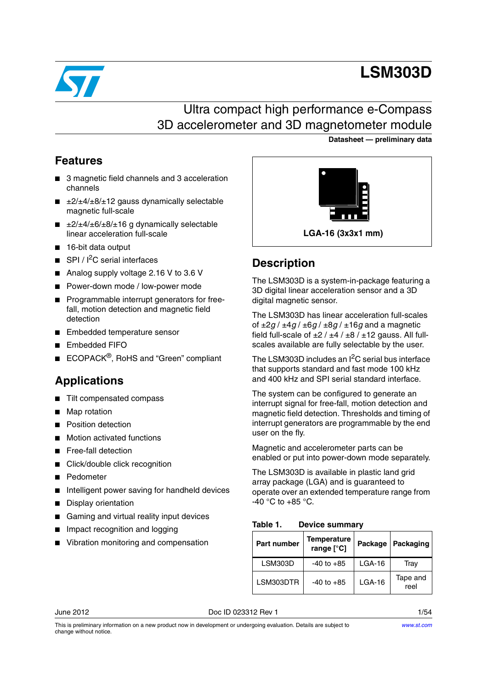

# **LSM303D**

**Datasheet — preliminary data**

## Ultra compact high performance e-Compass 3D accelerometer and 3D magnetometer module

## **Features**

- 3 magnetic field channels and 3 acceleration channels
- $\blacksquare$   $\pm$ 2/ $\pm$ 4/ $\pm$ 8/ $\pm$ 12 gauss dynamically selectable magnetic full-scale
- $\pm 2/\pm 4/\pm 6/\pm 8/\pm 16$  g dynamically selectable linear acceleration full-scale
- 16-bit data output
- $SPI / I<sup>2</sup>C$  serial interfaces
- Analog supply voltage 2.16 V to 3.6 V
- Power-down mode / low-power mode
- Programmable interrupt generators for freefall, motion detection and magnetic field detection
- Embedded temperature sensor
- Embedded FIFO
- ECOPACK<sup>®</sup>, RoHS and "Green" compliant

## **Applications**

- Tilt compensated compass
- Map rotation
- Position detection
- Motion activated functions
- Free-fall detection
- Click/double click recognition
- **Pedometer**
- Intelligent power saving for handheld devices
- Display orientation
- Gaming and virtual reality input devices
- Impact recognition and logging
- Vibration monitoring and compensation



## **Description**

The LSM303D is a system-in-package featuring a 3D digital linear acceleration sensor and a 3D digital magnetic sensor.

The LSM303D has linear acceleration full-scales of ±2*g* / ±4*g* / ±6*g* / ±8*g* / ±16*g* and a magnetic field full-scale of ±2 / ±4 / ±8 / ±12 gauss*.* All fullscales available are fully selectable by the user.

The LSM303D includes an  $I^2C$  serial bus interface that supports standard and fast mode 100 kHz and 400 kHz and SPI serial standard interface.

The system can be configured to generate an interrupt signal for free-fall, motion detection and magnetic field detection. Thresholds and timing of interrupt generators are programmable by the end user on the fly.

Magnetic and accelerometer parts can be enabled or put into power-down mode separately.

The LSM303D is available in plastic land grid array package (LGA) and is guaranteed to operate over an extended temperature range from  $-40$  °C to  $+85$  °C.

<span id="page-0-0"></span>**Table 1. Device summary**

| Part number | Temperature<br>range [°C] | Package  | Packaging        |  |
|-------------|---------------------------|----------|------------------|--|
| LSM303D     | $-40$ to $+85$            | $LGA-16$ | Tray             |  |
| LSM303DTR   | $-40$ to $+85$            | $LGA-16$ | Tape and<br>reel |  |

June 2012 Doc ID 023312 Rev 1 1/54

This is preliminary information on a new product now in development or undergoing evaluation. Details are subject to change without notice.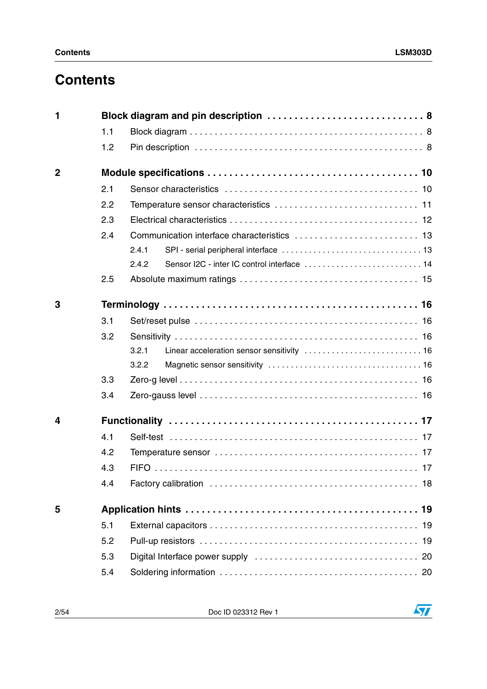## **Contents**

| 1              |     | Block diagram and pin description  8 |
|----------------|-----|--------------------------------------|
|                | 1.1 |                                      |
|                | 1.2 |                                      |
| $\overline{2}$ |     |                                      |
|                | 2.1 |                                      |
|                | 2.2 |                                      |
|                | 2.3 |                                      |
|                | 2.4 |                                      |
|                |     | 2.4.1                                |
|                |     | 2.4.2                                |
|                | 2.5 |                                      |
| 3              |     |                                      |
|                | 3.1 |                                      |
|                | 3.2 |                                      |
|                |     |                                      |
|                |     | 3.2.1                                |
|                |     | 3.2.2                                |
|                | 3.3 |                                      |
|                | 3.4 |                                      |
| 4              |     |                                      |
|                | 4.1 |                                      |
|                | 4.2 |                                      |
|                | 4.3 |                                      |
|                | 4.4 |                                      |
| 5              |     |                                      |
|                | 5.1 |                                      |
|                | 5.2 |                                      |
|                | 5.3 | 20                                   |

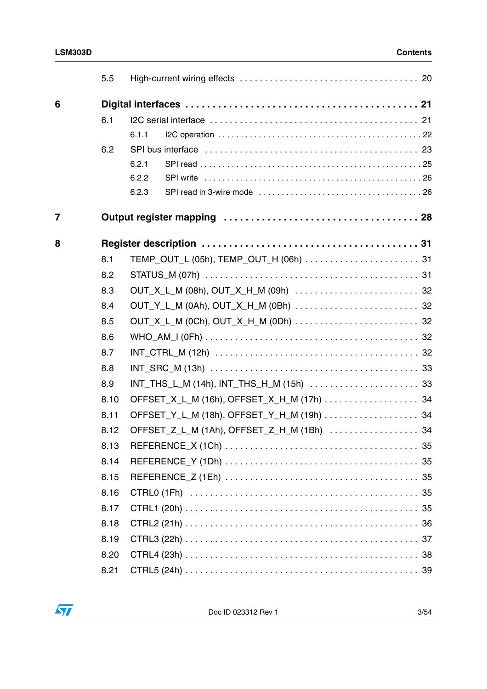|                | 5.5  |                                            |  |
|----------------|------|--------------------------------------------|--|
| 6              |      |                                            |  |
|                | 6.1  |                                            |  |
|                |      | 6.1.1                                      |  |
|                | 6.2  |                                            |  |
|                |      | 6.2.1                                      |  |
|                |      | 6.2.2                                      |  |
|                |      | 6.2.3                                      |  |
| $\overline{7}$ |      |                                            |  |
| 8              |      |                                            |  |
|                | 8.1  |                                            |  |
|                | 8.2  |                                            |  |
|                | 8.3  |                                            |  |
|                | 8.4  | OUT_Y_L_M (0Ah), OUT_X_H_M (0Bh)  32       |  |
|                | 8.5  |                                            |  |
|                | 8.6  |                                            |  |
|                | 8.7  |                                            |  |
|                | 8.8  |                                            |  |
|                | 8.9  |                                            |  |
|                | 8.10 | OFFSET_X_L_M (16h), OFFSET_X_H_M (17h) 34  |  |
|                | 8.11 | OFFSET_Y_L_M (18h), OFFSET_Y_H_M (19h) 34  |  |
|                | 8.12 | OFFSET_Z_L_M (1Ah), OFFSET_Z_H_M (1Bh)  34 |  |
|                | 8.13 |                                            |  |
|                | 8.14 |                                            |  |
|                | 8.15 |                                            |  |
|                | 8.16 |                                            |  |
|                | 8.17 |                                            |  |
|                | 8.18 |                                            |  |
|                | 8.19 |                                            |  |
|                | 8.20 |                                            |  |
|                | 8.21 |                                            |  |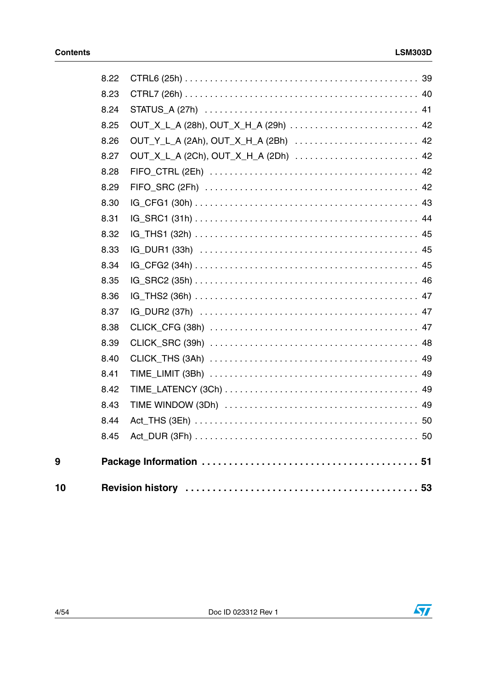| 8.22 |                                      |  |
|------|--------------------------------------|--|
| 8.23 |                                      |  |
| 8.24 |                                      |  |
| 8.25 |                                      |  |
| 8.26 | OUT_Y_L_A (2Ah), OUT_X_H_A (2Bh)  42 |  |
| 8.27 | OUT_X_L_A (2Ch), OUT_X_H_A (2Dh)  42 |  |
| 8.28 |                                      |  |
| 8.29 |                                      |  |
| 8.30 |                                      |  |
| 8.31 |                                      |  |
| 8.32 |                                      |  |
| 8.33 |                                      |  |
| 8.34 |                                      |  |
| 8.35 |                                      |  |
| 8.36 |                                      |  |
| 8.37 |                                      |  |
| 8.38 |                                      |  |
| 8.39 |                                      |  |
| 8.40 |                                      |  |
| 8.41 |                                      |  |
| 8.42 |                                      |  |
| 8.43 |                                      |  |
| 8.44 |                                      |  |
| 8.45 |                                      |  |
|      |                                      |  |
|      |                                      |  |
|      |                                      |  |



 $\overline{9}$ 

 $10$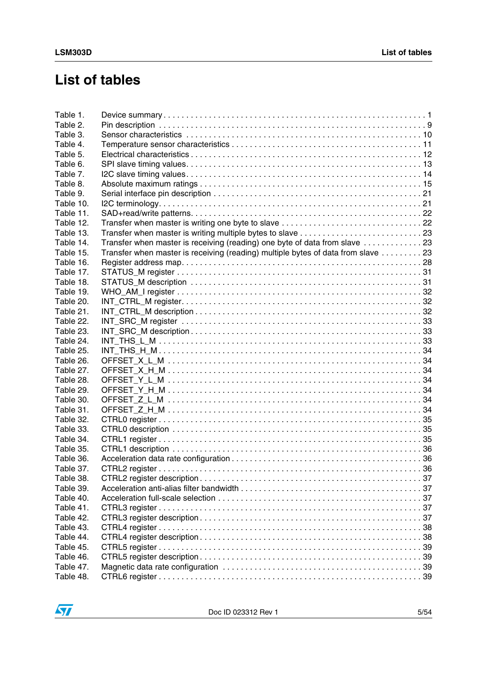## **List of tables**

| Table 1.  |                                                                                   |  |
|-----------|-----------------------------------------------------------------------------------|--|
| Table 2.  |                                                                                   |  |
| Table 3.  |                                                                                   |  |
| Table 4.  |                                                                                   |  |
| Table 5.  |                                                                                   |  |
| Table 6.  |                                                                                   |  |
| Table 7.  |                                                                                   |  |
| Table 8.  |                                                                                   |  |
| Table 9.  |                                                                                   |  |
| Table 10. |                                                                                   |  |
| Table 11. |                                                                                   |  |
| Table 12. |                                                                                   |  |
| Table 13. |                                                                                   |  |
| Table 14. | Transfer when master is receiving (reading) one byte of data from slave 23        |  |
| Table 15. | Transfer when master is receiving (reading) multiple bytes of data from slave  23 |  |
| Table 16. |                                                                                   |  |
| Table 17. |                                                                                   |  |
| Table 18. |                                                                                   |  |
| Table 19. |                                                                                   |  |
| Table 20. |                                                                                   |  |
| Table 21. |                                                                                   |  |
|           |                                                                                   |  |
| Table 22. |                                                                                   |  |
| Table 23. |                                                                                   |  |
| Table 24. |                                                                                   |  |
| Table 25. |                                                                                   |  |
| Table 26. |                                                                                   |  |
| Table 27. |                                                                                   |  |
| Table 28. |                                                                                   |  |
| Table 29. |                                                                                   |  |
| Table 30. |                                                                                   |  |
| Table 31. |                                                                                   |  |
| Table 32. |                                                                                   |  |
| Table 33. |                                                                                   |  |
| Table 34. |                                                                                   |  |
| Table 35. |                                                                                   |  |
| Table 36. |                                                                                   |  |
| Table 37. |                                                                                   |  |
| Table 38. |                                                                                   |  |
| Table 39. |                                                                                   |  |
| Table 40. |                                                                                   |  |
| Table 41. |                                                                                   |  |
| Table 42. |                                                                                   |  |
| Table 43. |                                                                                   |  |
| Table 44. |                                                                                   |  |
| Table 45. |                                                                                   |  |
| Table 46. |                                                                                   |  |
| Table 47. |                                                                                   |  |
| Table 48. |                                                                                   |  |
|           |                                                                                   |  |

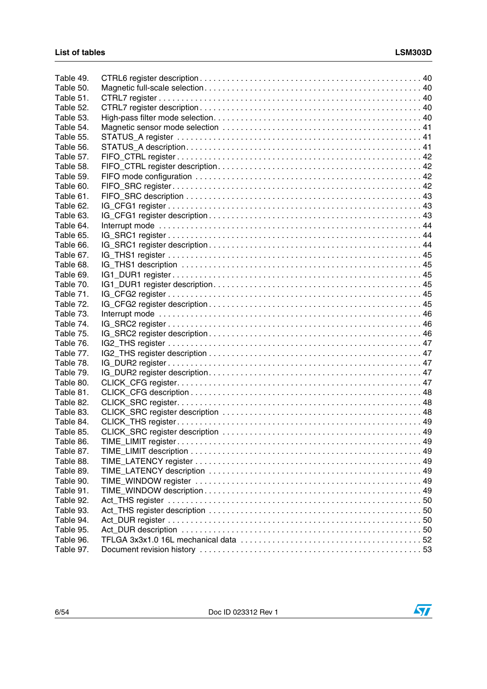| Table 49. |  |
|-----------|--|
| Table 50. |  |
| Table 51. |  |
| Table 52. |  |
| Table 53. |  |
| Table 54. |  |
| Table 55. |  |
| Table 56. |  |
| Table 57. |  |
| Table 58. |  |
| Table 59. |  |
| Table 60. |  |
| Table 61. |  |
| Table 62. |  |
| Table 63. |  |
| Table 64. |  |
| Table 65. |  |
| Table 66. |  |
| Table 67. |  |
| Table 68. |  |
| Table 69. |  |
| Table 70. |  |
| Table 71. |  |
| Table 72. |  |
| Table 73. |  |
| Table 74. |  |
| Table 75. |  |
| Table 76. |  |
| Table 77. |  |
| Table 78. |  |
| Table 79. |  |
| Table 80. |  |
| Table 81. |  |
| Table 82. |  |
| Table 83. |  |
| Table 84. |  |
| Table 85. |  |
| Table 86. |  |
| Table 87. |  |
| Table 88. |  |
| Table 89. |  |
| Table 90. |  |
| Table 91. |  |
| Table 92. |  |
| Table 93. |  |
| Table 94. |  |
| Table 95. |  |
| Table 96. |  |
| Table 97. |  |
|           |  |

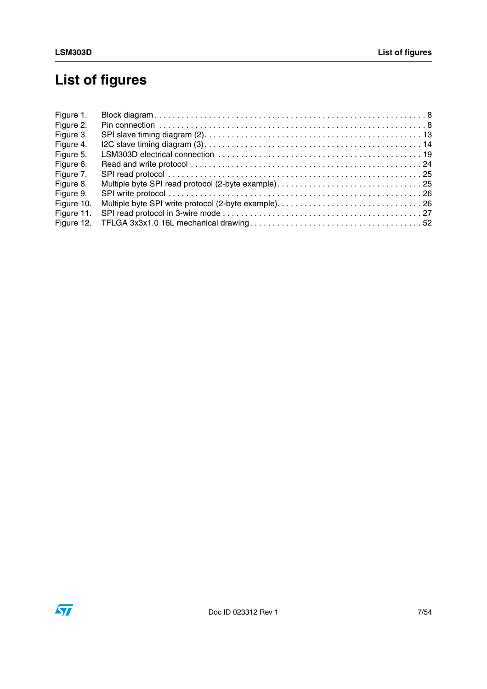# **List of figures**

| Figure 1.  |  |
|------------|--|
| Figure 2.  |  |
| Figure 3.  |  |
| Figure 4.  |  |
| Figure 5.  |  |
| Figure 6.  |  |
| Figure 7.  |  |
| Figure 8.  |  |
| Figure 9.  |  |
| Figure 10. |  |
| Figure 11. |  |
| Figure 12. |  |

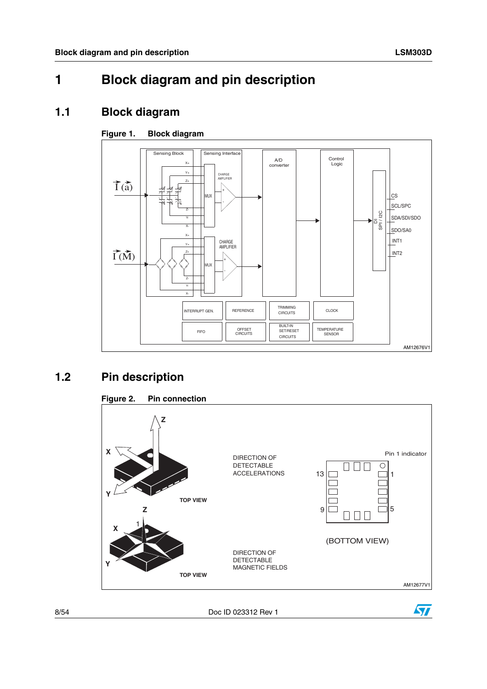## <span id="page-7-0"></span>**1 Block diagram and pin description**

### <span id="page-7-1"></span>**1.1 Block diagram**

### <span id="page-7-3"></span>**Figure 1. Block diagram**



## <span id="page-7-2"></span>**1.2 Pin description**

<span id="page-7-4"></span>

8/54 Doc ID 023312 Rev 1

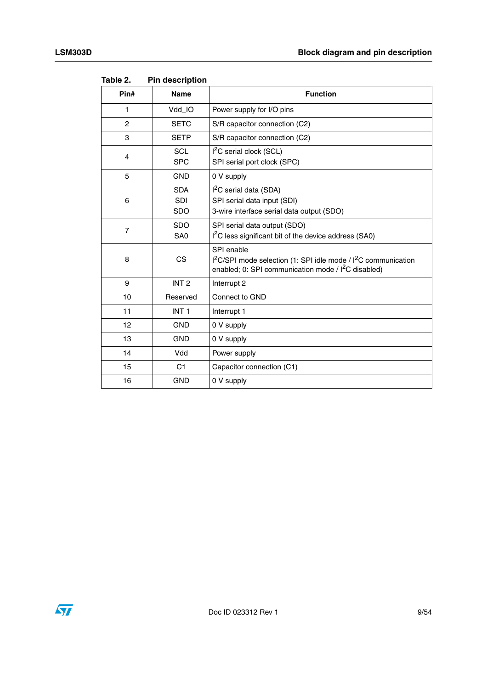| Pin#           | <b>Name</b>                            | <b>Function</b>                                                                                                                                       |
|----------------|----------------------------------------|-------------------------------------------------------------------------------------------------------------------------------------------------------|
| 1              | Vdd_IO                                 | Power supply for I/O pins                                                                                                                             |
| 2              | <b>SETC</b>                            | S/R capacitor connection (C2)                                                                                                                         |
| 3              | <b>SETP</b>                            | S/R capacitor connection (C2)                                                                                                                         |
| 4              | <b>SCL</b><br><b>SPC</b>               | $I2C$ serial clock (SCL)<br>SPI serial port clock (SPC)                                                                                               |
| 5              | <b>GND</b>                             | 0 V supply                                                                                                                                            |
| 6              | <b>SDA</b><br><b>SDI</b><br><b>SDO</b> | I <sup>2</sup> C serial data (SDA)<br>SPI serial data input (SDI)<br>3-wire interface serial data output (SDO)                                        |
| $\overline{7}$ | <b>SDO</b><br>SA <sub>0</sub>          | SPI serial data output (SDO)<br>I <sup>2</sup> C less significant bit of the device address (SA0)                                                     |
| 8              | <b>CS</b>                              | SPI enable<br>$1^2$ C/SPI mode selection (1: SPI idle mode / $1^2$ C communication<br>enabled; 0: SPI communication mode / I <sup>2</sup> C disabled) |
| 9              | INT <sub>2</sub>                       | Interrupt 2                                                                                                                                           |
| 10             | Reserved                               | Connect to GND                                                                                                                                        |
| 11             | INT <sub>1</sub>                       | Interrupt 1                                                                                                                                           |
| 12             | <b>GND</b>                             | 0 V supply                                                                                                                                            |
| 13             | <b>GND</b>                             | 0 V supply                                                                                                                                            |
| 14             | Vdd                                    | Power supply                                                                                                                                          |
| 15             | C <sub>1</sub>                         | Capacitor connection (C1)                                                                                                                             |
| 16             | <b>GND</b>                             | 0 V supply                                                                                                                                            |

<span id="page-8-0"></span>Table 2. **Pin description** 

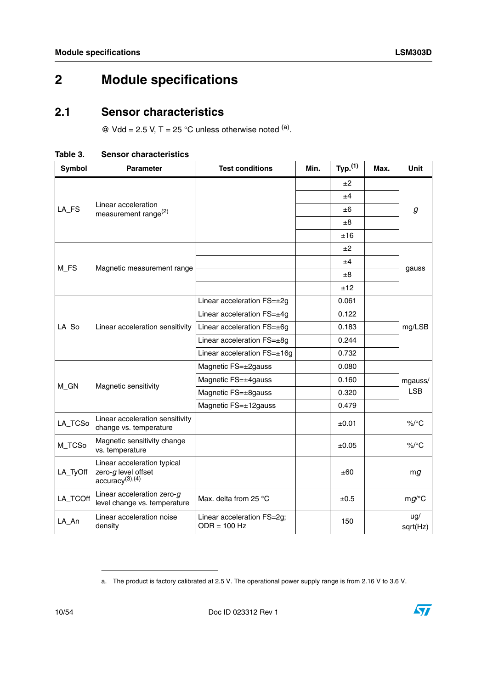## <span id="page-9-0"></span>**2 Module specifications**

### <span id="page-9-1"></span>**2.1 Sensor characteristics**

 $\textcircled{a}$  Vdd = 2.5 V, T = 25 °C unless otherwise noted  $\text{^{(a)}}$ .

<span id="page-9-2"></span>

| Table 3. | <b>Sensor characteristics</b> |
|----------|-------------------------------|
|          |                               |

| Symbol   | <b>Parameter</b>                                                                     | <b>Test conditions</b>                       | Min. | Typ. <sup>(1)</sup> | Max. | <b>Unit</b>     |
|----------|--------------------------------------------------------------------------------------|----------------------------------------------|------|---------------------|------|-----------------|
|          |                                                                                      |                                              |      | ±2                  |      |                 |
|          |                                                                                      |                                              |      | ±4                  |      |                 |
| LA_FS    | Linear acceleration<br>measurement range <sup>(2)</sup>                              |                                              |      | ±6                  |      | g               |
|          |                                                                                      |                                              |      | $\pm 8$             |      |                 |
|          |                                                                                      |                                              |      | ±16                 |      |                 |
|          |                                                                                      |                                              |      | ±2                  |      |                 |
|          |                                                                                      |                                              |      | ±4                  |      |                 |
| $M_FS$   | Magnetic measurement range                                                           |                                              |      | ±8                  |      | gauss           |
|          |                                                                                      |                                              |      | ±12                 |      |                 |
|          |                                                                                      | Linear acceleration FS=±2g                   |      | 0.061               |      |                 |
|          |                                                                                      | Linear acceleration FS=±4g                   |      | 0.122               |      | mg/LSB          |
| LA_So    | Linear acceleration sensitivity                                                      | Linear acceleration FS=±6g                   |      | 0.183               |      |                 |
|          |                                                                                      | Linear acceleration FS=±8g                   |      | 0.244               |      |                 |
|          |                                                                                      | Linear acceleration FS=±16g                  |      | 0.732               |      |                 |
|          |                                                                                      | Magnetic FS=±2gauss                          |      | 0.080               |      |                 |
|          |                                                                                      | Magnetic FS=±4gauss                          |      | 0.160               |      | mgauss/         |
| M_GN     | Magnetic sensitivity                                                                 | Magnetic FS=±8gauss                          |      | 0.320               |      | <b>LSB</b>      |
|          |                                                                                      | Magnetic FS=±12gauss                         |      | 0.479               |      |                 |
| LA_TCSo  | Linear acceleration sensitivity<br>change vs. temperature                            |                                              |      | ±0.01               |      | $\%$ /°C        |
| M_TCSo   | Magnetic sensitivity change<br>vs. temperature                                       |                                              |      | $\pm 0.05$          |      | $\%$ /°C        |
| LA_TyOff | Linear acceleration typical<br>zero- $g$ level offset<br>accuracy <sup>(3),(4)</sup> |                                              |      | ±60                 |      | mg              |
| LA_TCOff | Linear acceleration zero- $g$<br>level change vs. temperature                        | Max. delta from 25 °C                        |      | ±0.5                |      | $mg$ /°C        |
| LA_An    | Linear acceleration noise<br>density                                                 | Linear acceleration FS=2g;<br>$ODR = 100 Hz$ |      | 150                 |      | ug/<br>sqrt(Hz) |



a. The product is factory calibrated at 2.5 V. The operational power supply range is from 2.16 V to 3.6 V.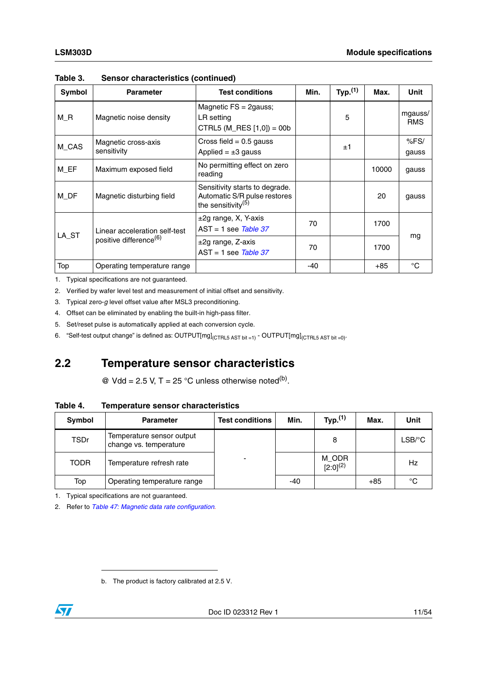| Symbol | <b>Parameter</b>                                                    | <b>Test conditions</b>                                                                  | Min.  | Typ. <sup>(1)</sup> | Max.  | Unit                  |
|--------|---------------------------------------------------------------------|-----------------------------------------------------------------------------------------|-------|---------------------|-------|-----------------------|
| $M_R$  | Magnetic noise density                                              | Magnetic $FS = 2$ gauss;<br>LR setting<br>CTRL5 (M_RES $[1,0]$ ) = 00b                  |       | 5                   |       | mgauss/<br><b>RMS</b> |
| M_CAS  | Magnetic cross-axis<br>sensitivity                                  | Cross field $= 0.5$ gauss<br>Applied = $\pm 3$ gauss                                    |       | ±1                  |       | %FS/<br>gauss         |
| M EF   | Maximum exposed field                                               | No permitting effect on zero<br>reading                                                 |       |                     | 10000 | gauss                 |
| M_DF   | Magnetic disturbing field                                           | Sensitivity starts to degrade.<br>Automatic S/R pulse restores<br>the sensitivity $(5)$ |       |                     | 20    | gauss                 |
| LA_ST  | Linear acceleration self-test<br>positive difference <sup>(6)</sup> | $\pm 2$ g range, X, Y-axis<br>$AST = 1$ see Table 37                                    | 70    |                     | 1700  |                       |
|        |                                                                     | $\pm 2$ g range, Z-axis<br>$AST = 1$ see Table 37                                       | 70    |                     | 1700  | mg                    |
| Top    | Operating temperature range                                         |                                                                                         | $-40$ |                     | $+85$ | °C                    |

**Table 3. Sensor characteristics (continued)**

1. Typical specifications are not guaranteed.

2. Verified by wafer level test and measurement of initial offset and sensitivity.

3. Typical zero-*g* level offset value after MSL3 preconditioning.

4. Offset can be eliminated by enabling the built-in high-pass filter.

5. Set/reset pulse is automatically applied at each conversion cycle.

6. "Self-test output change" is defined as: OUTPUT[mg]<sub>(CTRL5</sub> AST bit =1) - OUTPUT[mg]<sub>(CTRL5</sub> AST bit =0).

### <span id="page-10-0"></span>**2.2 Temperature sensor characteristics**

@ Vdd = 2.5 V, T = 25 °C unless otherwise noted<sup>(b)</sup>.

### <span id="page-10-1"></span>**Table 4. Temperature sensor characteristics**

| Symbol      | <b>Parameter</b>                                    | <b>Test conditions</b>   | Min. | Typ. <sup>(1)</sup>    | Max.  | <b>Unit</b>          |
|-------------|-----------------------------------------------------|--------------------------|------|------------------------|-------|----------------------|
| <b>TSDr</b> | Temperature sensor output<br>change vs. temperature |                          |      | 8                      |       | $LSB$ <sup>o</sup> C |
| <b>TODR</b> | Temperature refresh rate                            | $\overline{\phantom{a}}$ |      | M ODR<br>$[2:0]^{(2)}$ |       | Hz                   |
| Top         | Operating temperature range                         |                          | -40  |                        | $+85$ | °C                   |

1. Typical specifications are not guaranteed.

2. Refer to *[Table 47: Magnetic data rate configuration](#page-38-4)*.

b. The product is factory calibrated at 2.5 V.

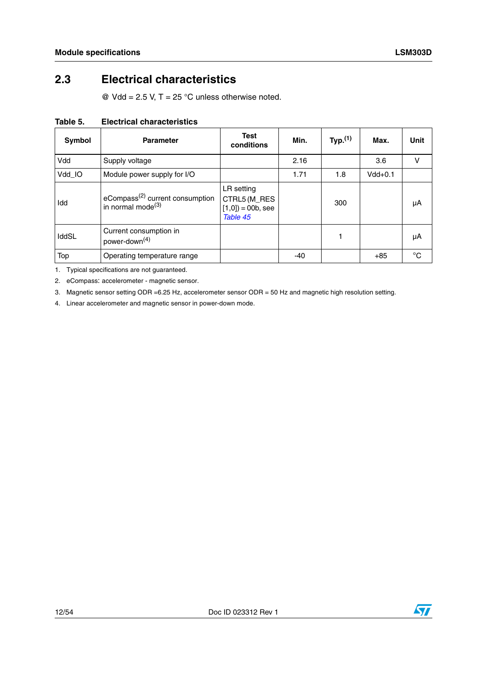## <span id="page-11-0"></span>**2.3 Electrical characteristics**

 $\textcircled{2}$  Vdd = 2.5 V, T = 25 °C unless otherwise noted.

| <b>Symbol</b> | <b>Parameter</b>                                                    | <b>Test</b><br>conditions                                    | Min. | Typ. <sup>(1)</sup> | Max.      | Unit        |
|---------------|---------------------------------------------------------------------|--------------------------------------------------------------|------|---------------------|-----------|-------------|
| Vdd           | Supply voltage                                                      |                                                              | 2.16 |                     | 3.6       | v           |
| Vdd_IO        | Module power supply for I/O                                         |                                                              | 1.71 | 1.8                 | $Vdd+0.1$ |             |
| Idd           | eCompass <sup>(2)</sup> current consumption<br>in normal mode $(3)$ | LR setting<br>CTRL5 (M_RES<br>$[1,0]$ = 00b, see<br>Table 45 |      | 300                 |           | μA          |
| IddSL         | Current consumption in<br>power-down <sup>(4)</sup>                 |                                                              |      | 1                   |           | μA          |
| Top           | Operating temperature range                                         |                                                              | -40  |                     | $+85$     | $^{\circ}C$ |

### <span id="page-11-1"></span>**Table 5. Electrical characteristics**

1. Typical specifications are not guaranteed.

2. eCompass: accelerometer - magnetic sensor.

3. Magnetic sensor setting ODR =6.25 Hz, accelerometer sensor ODR = 50 Hz and magnetic high resolution setting.

4. Linear accelerometer and magnetic sensor in power-down mode.

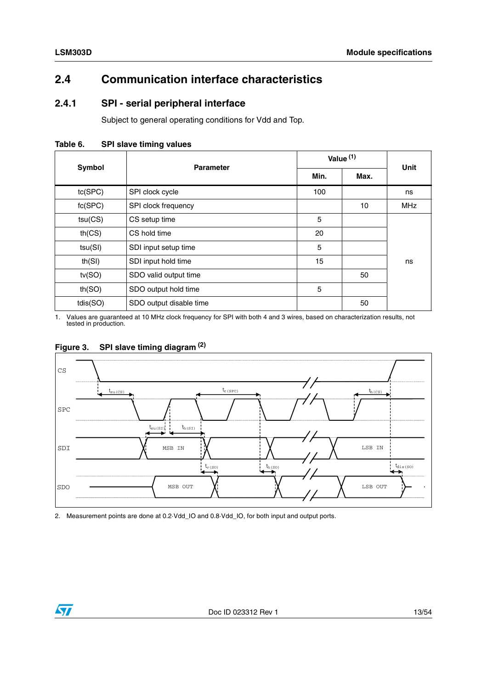## <span id="page-12-0"></span>**2.4 Communication interface characteristics**

### <span id="page-12-1"></span>**2.4.1 SPI - serial peripheral interface**

Subject to general operating conditions for Vdd and Top.

<span id="page-12-2"></span>**Table 6. SPI slave timing values**

| Symbol   | <b>Parameter</b>        | Value <sup>(1)</sup> | <b>Unit</b> |            |
|----------|-------------------------|----------------------|-------------|------------|
|          |                         | Min.                 | Max.        |            |
| tc(SPC)  | SPI clock cycle         | 100                  |             | ns         |
| fc(SPC)  | SPI clock frequency     |                      | 10          | <b>MHz</b> |
| tsu(CS)  | CS setup time           | 5                    |             |            |
| th(CS)   | CS hold time            | 20                   |             |            |
| tsu(SI)  | SDI input setup time    | 5                    |             |            |
| th(SI)   | SDI input hold time     | 15                   |             | ns         |
| tv(SO)   | SDO valid output time   |                      | 50          |            |
| th(SO)   | SDO output hold time    | 5                    |             |            |
| tdis(SO) | SDO output disable time |                      | 50          |            |

1. Values are guaranteed at 10 MHz clock frequency for SPI with both 4 and 3 wires, based on characterization results, not tested in production.



## <span id="page-12-3"></span>**Figure 3. SPI slave timing diagram (2)**

2. Measurement points are done at 0.2·Vdd\_IO and 0.8·Vdd\_IO, for both input and output ports.

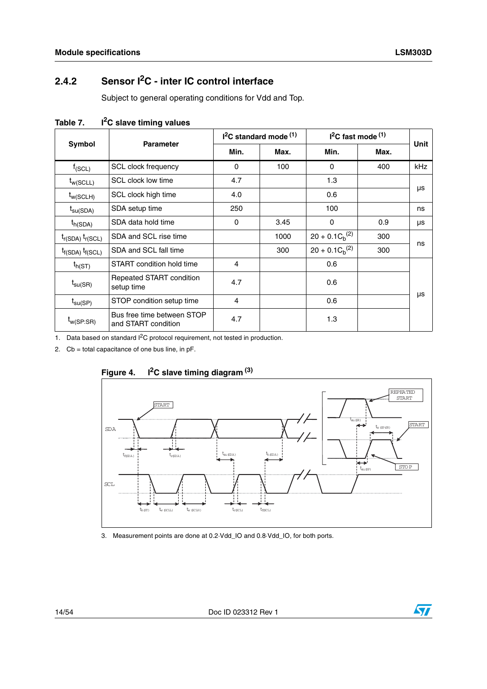## <span id="page-13-0"></span>**2.4.2 Sensor I2C - inter IC control interface**

Subject to general operating conditions for Vdd and Top.

|                         | <b>Parameter</b>                                  |      | $I2C$ standard mode $(1)$ |                      | $I2C$ fast mode $(1)$ | Unit       |
|-------------------------|---------------------------------------------------|------|---------------------------|----------------------|-----------------------|------------|
| Symbol                  |                                                   | Min. | Max.                      | Min.                 | Max.                  |            |
| $f_{(SCL)}$             | <b>SCL clock frequency</b>                        | 0    | 100                       | $\mathbf{0}$         | 400                   | <b>kHz</b> |
| $t_{w(SCLL)}$           | SCL clock low time                                | 4.7  |                           | 1.3                  |                       |            |
| $t_{w(SCLH)}$           | SCL clock high time                               | 4.0  |                           | 0.6                  |                       | μs         |
| $t_{\text{su(SDA)}}$    | SDA setup time                                    | 250  |                           | 100                  |                       | ns         |
| $t_{h(SDA)}$            | SDA data hold time                                | 0    | 3.45                      | 0                    | 0.9                   | μs         |
| $t_{r(SDA)} t_{r(SCL)}$ | SDA and SCL rise time                             |      | 1000                      | $20 + 0.1 C_h^{(2)}$ | 300                   | ns         |
| $t_{f(SDA)} t_{f(SCL)}$ | SDA and SCL fall time                             |      | 300                       | $20 + 0.1 C_h^{(2)}$ | 300                   |            |
| $t_{h(ST)}$             | START condition hold time                         | 4    |                           | 0.6                  |                       |            |
| $t_{\text{SU(SR)}}$     | Repeated START condition<br>setup time            | 4.7  |                           | 0.6                  |                       |            |
| $t_{\text{su(SP)}}$     | STOP condition setup time                         | 4    |                           | 0.6                  |                       | μs         |
| $t_{w(SP:SR)}$          | Bus free time between STOP<br>and START condition | 4.7  |                           | 1.3                  |                       |            |

<span id="page-13-1"></span>Table 7. **I**<sup>2</sup>C slave timing values

1. Data based on standard I<sup>2</sup>C protocol requirement, not tested in production.

2. Cb = total capacitance of one bus line, in pF.



<span id="page-13-2"></span>

3. Measurement points are done at 0.2·Vdd\_IO and 0.8·Vdd\_IO, for both ports.

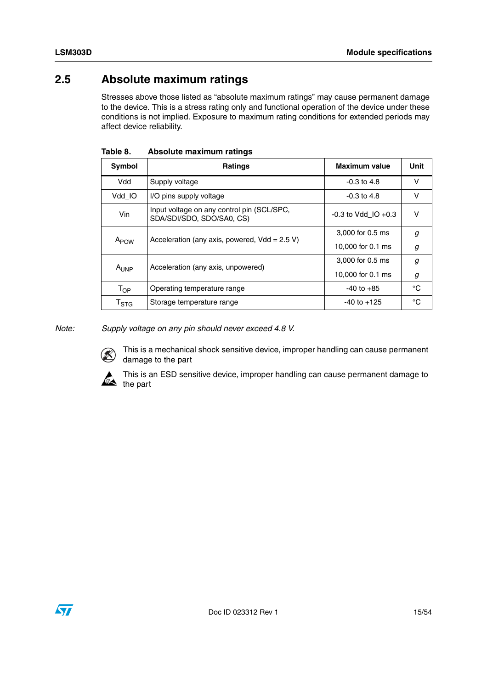## <span id="page-14-0"></span>**2.5 Absolute maximum ratings**

Stresses above those listed as "absolute maximum ratings" may cause permanent damage to the device. This is a stress rating only and functional operation of the device under these conditions is not implied. Exposure to maximum rating conditions for extended periods may affect device reliability.

| Symbol                     | <b>Ratings</b>                                                          | <b>Maximum value</b>    | Unit         |
|----------------------------|-------------------------------------------------------------------------|-------------------------|--------------|
| Vdd                        | Supply voltage                                                          | $-0.3$ to $4.8$         | v            |
| Vdd IO                     | I/O pins supply voltage                                                 | $-0.3$ to 4.8           | v            |
| Vin                        | Input voltage on any control pin (SCL/SPC,<br>SDA/SDI/SDO, SDO/SA0, CS) | $-0.3$ to Vdd IO $+0.3$ | v            |
|                            | Acceleration (any axis, powered, $Vdd = 2.5 V$ )                        | 3,000 for 0.5 ms        | g            |
| A <sub>POW</sub>           |                                                                         | 10,000 for 0.1 ms       | g            |
|                            | Acceleration (any axis, unpowered)                                      | 3,000 for 0.5 ms        | g            |
| A <sub>UNP</sub>           |                                                                         | 10,000 for 0.1 ms       | g            |
| $\mathsf{T}_{\mathsf{OP}}$ | Operating temperature range                                             | $-40$ to $+85$          | °C           |
| T <sub>STG</sub>           | Storage temperature range                                               | $-40$ to $+125$         | $^{\circ}$ C |

<span id="page-14-1"></span>**Table 8. Absolute maximum ratings**

*Note: Supply voltage on any pin should never exceed 4.8 V.*



This is a mechanical shock sensitive device, improper handling can cause permanent damage to the part



This is an ESD sensitive device, improper handling can cause permanent damage to the part

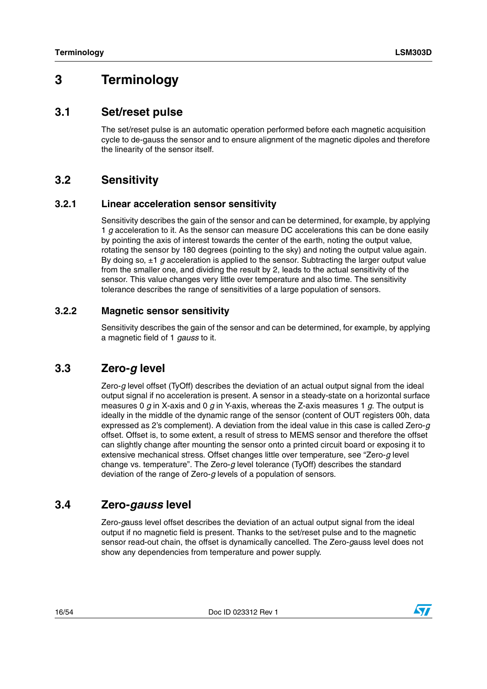## <span id="page-15-0"></span>**3 Terminology**

### <span id="page-15-1"></span>**3.1 Set/reset pulse**

The set/reset pulse is an automatic operation performed before each magnetic acquisition cycle to de-gauss the sensor and to ensure alignment of the magnetic dipoles and therefore the linearity of the sensor itself.

### <span id="page-15-2"></span>**3.2 Sensitivity**

### <span id="page-15-3"></span>**3.2.1 Linear acceleration sensor sensitivity**

Sensitivity describes the gain of the sensor and can be determined, for example, by applying 1 *g* acceleration to it. As the sensor can measure DC accelerations this can be done easily by pointing the axis of interest towards the center of the earth, noting the output value, rotating the sensor by 180 degrees (pointing to the sky) and noting the output value again. By doing so, ±1 *g* acceleration is applied to the sensor. Subtracting the larger output value from the smaller one, and dividing the result by 2, leads to the actual sensitivity of the sensor. This value changes very little over temperature and also time. The sensitivity tolerance describes the range of sensitivities of a large population of sensors.

### <span id="page-15-4"></span>**3.2.2 Magnetic sensor sensitivity**

Sensitivity describes the gain of the sensor and can be determined, for example, by applying a magnetic field of 1 *gauss* to it.

### <span id="page-15-5"></span>**3.3 Zero-***g* **level**

Zero-*g* level offset (TyOff) describes the deviation of an actual output signal from the ideal output signal if no acceleration is present. A sensor in a steady-state on a horizontal surface measures 0 *g* in X-axis and 0 *g* in Y-axis, whereas the Z-axis measures 1 *g*. The output is ideally in the middle of the dynamic range of the sensor (content of OUT registers 00h, data expressed as 2's complement). A deviation from the ideal value in this case is called Zero-*g* offset. Offset is, to some extent, a result of stress to MEMS sensor and therefore the offset can slightly change after mounting the sensor onto a printed circuit board or exposing it to extensive mechanical stress. Offset changes little over temperature, see "Zero-*g* level change vs. temperature". The Zero-*g* level tolerance (TyOff) describes the standard deviation of the range of Zero-*g* levels of a population of sensors.

## <span id="page-15-6"></span>**3.4 Zero-***gauss* **level**

Zero-*g*auss level offset describes the deviation of an actual output signal from the ideal output if no magnetic field is present. Thanks to the set/reset pulse and to the magnetic sensor read-out chain, the offset is dynamically cancelled. The Zero-*g*auss level does not show any dependencies from temperature and power supply.

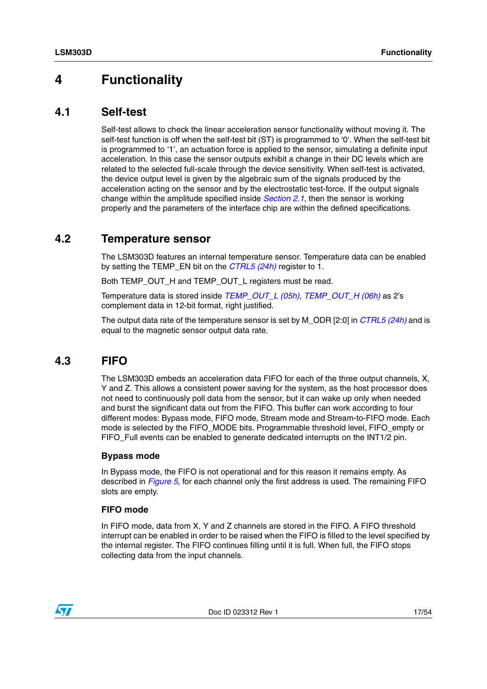## <span id="page-16-0"></span>**4 Functionality**

### <span id="page-16-1"></span>**4.1 Self-test**

Self-test allows to check the linear acceleration sensor functionality without moving it. The self-test function is off when the self-test bit (ST) is programmed to '0'. When the self-test bit is programmed to '1', an actuation force is applied to the sensor, simulating a definite input acceleration. In this case the sensor outputs exhibit a change in their DC levels which are related to the selected full-scale through the device sensitivity. When self-test is activated, the device output level is given by the algebraic sum of the signals produced by the acceleration acting on the sensor and by the electrostatic test-force. If the output signals change within the amplitude specified inside *[Section 2.1](#page-9-1)*, then the sensor is working properly and the parameters of the interface chip are within the defined specifications.

### <span id="page-16-2"></span>**4.2 Temperature sensor**

The LSM303D features an internal temperature sensor. Temperature data can be enabled by setting the TEMP\_EN bit on the *[CTRL5 \(24h\)](#page-38-0)* register to 1.

Both TEMP\_OUT\_H and TEMP\_OUT\_L registers must be read.

Temperature data is stored inside *[TEMP\\_OUT\\_L \(05h\), TEMP\\_OUT\\_H \(06h\)](#page-30-1)* as 2's complement data in 12-bit format, right justified.

The output data rate of the temperature sensor is set by M\_ODR [2:0] in *[CTRL5 \(24h\)](#page-38-0)* and is equal to the magnetic sensor output data rate.

## <span id="page-16-3"></span>**4.3 FIFO**

The LSM303D embeds an acceleration data FIFO for each of the three output channels, X, Y and Z. This allows a consistent power saving for the system, as the host processor does not need to continuously poll data from the sensor, but it can wake up only when needed and burst the significant data out from the FIFO. This buffer can work according to four different modes: Bypass mode, FIFO mode, Stream mode and Stream-to-FIFO mode. Each mode is selected by the FIFO\_MODE bits. Programmable threshold level, FIFO\_empty or FIFO\_Full events can be enabled to generate dedicated interrupts on the INT1/2 pin.

### **Bypass mode**

In Bypass mode, the FIFO is not operational and for this reason it remains empty. As described in *[Figure 5](#page-18-3)*, for each channel only the first address is used. The remaining FIFO slots are empty.

### **FIFO mode**

In FIFO mode, data from X, Y and Z channels are stored in the FIFO. A FIFO threshold interrupt can be enabled in order to be raised when the FIFO is filled to the level specified by the internal register. The FIFO continues filling until it is full. When full, the FIFO stops collecting data from the input channels.

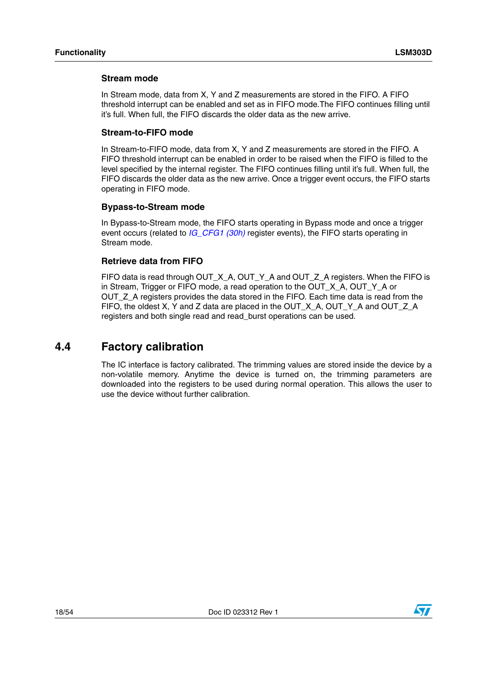### **Stream mode**

In Stream mode, data from X, Y and Z measurements are stored in the FIFO. A FIFO threshold interrupt can be enabled and set as in FIFO mode.The FIFO continues filling until it's full. When full, the FIFO discards the older data as the new arrive.

### **Stream-to-FIFO mode**

In Stream-to-FIFO mode, data from X, Y and Z measurements are stored in the FIFO. A FIFO threshold interrupt can be enabled in order to be raised when the FIFO is filled to the level specified by the internal register. The FIFO continues filling until it's full. When full, the FIFO discards the older data as the new arrive. Once a trigger event occurs, the FIFO starts operating in FIFO mode.

### **Bypass-to-Stream mode**

In Bypass-to-Stream mode, the FIFO starts operating in Bypass mode and once a trigger event occurs (related to *[IG\\_CFG1 \(30h\)](#page-42-0)* register events), the FIFO starts operating in Stream mode.

### **Retrieve data from FIFO**

FIFO data is read through OUT\_X\_A, OUT\_Y\_A and OUT\_Z\_A registers. When the FIFO is in Stream, Trigger or FIFO mode, a read operation to the OUT X A, OUT Y A or OUT Z A registers provides the data stored in the FIFO. Each time data is read from the FIFO, the oldest X, Y and Z data are placed in the OUT\_X\_A, OUT\_Y\_A and OUT\_Z\_A registers and both single read and read\_burst operations can be used.

### <span id="page-17-0"></span>**4.4 Factory calibration**

The IC interface is factory calibrated. The trimming values are stored inside the device by a non-volatile memory. Anytime the device is turned on, the trimming parameters are downloaded into the registers to be used during normal operation. This allows the user to use the device without further calibration.

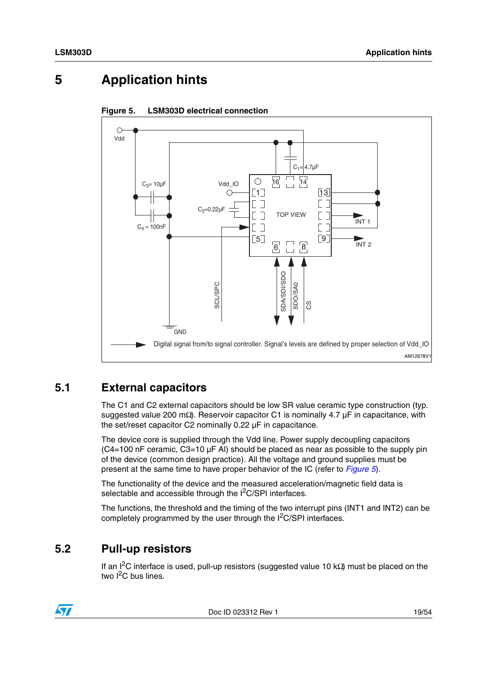## <span id="page-18-0"></span>**5 Application hints**



<span id="page-18-3"></span>

## <span id="page-18-1"></span>**5.1 External capacitors**

The C1 and C2 external capacitors should be low SR value ceramic type construction (typ. suggested value 200 mΩ). Reservoir capacitor C1 is nominally 4.7 µF in capacitance, with the set/reset capacitor C2 nominally 0.22 µF in capacitance.

The device core is supplied through the Vdd line. Power supply decoupling capacitors (C4=100 nF ceramic, C3=10 µF Al) should be placed as near as possible to the supply pin of the device (common design practice). All the voltage and ground supplies must be present at the same time to have proper behavior of the IC (refer to *[Figure 5](#page-18-3)*).

The functionality of the device and the measured acceleration/magnetic field data is selectable and accessible through the  $I<sup>2</sup>C/SPI$  interfaces.

The functions, the threshold and the timing of the two interrupt pins (INT1 and INT2) can be completely programmed by the user through the I<sup>2</sup>C/SPI interfaces.

## <span id="page-18-2"></span>**5.2 Pull-up resistors**

If an I<sup>2</sup>C interface is used, pull-up resistors (suggested value 10 kΩ) must be placed on the two  $I^2C$  bus lines.



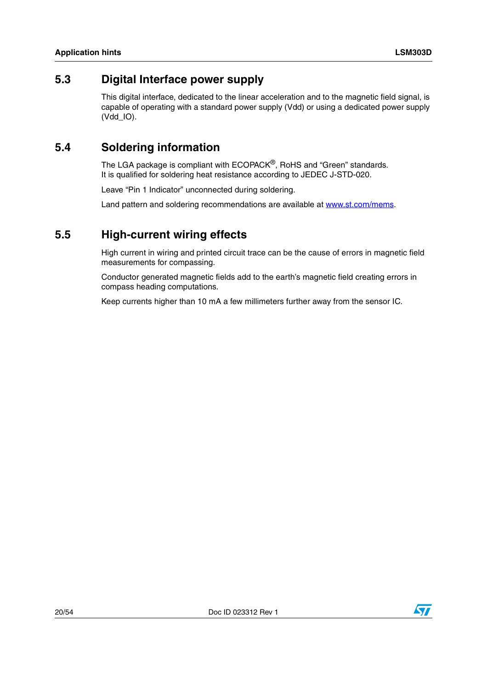### <span id="page-19-0"></span>**5.3 Digital Interface power supply**

This digital interface, dedicated to the linear acceleration and to the magnetic field signal, is capable of operating with a standard power supply (Vdd) or using a dedicated power supply (Vdd\_IO).

## <span id="page-19-1"></span>**5.4 Soldering information**

The LGA package is compliant with ECOPACK®, RoHS and "Green" standards. It is qualified for soldering heat resistance according to JEDEC J-STD-020.

Leave "Pin 1 Indicator" unconnected during soldering.

Land pattern and soldering recommendations are available at www.st.com/mems.

### <span id="page-19-2"></span>**5.5 High-current wiring effects**

High current in wiring and printed circuit trace can be the cause of errors in magnetic field measurements for compassing.

Conductor generated magnetic fields add to the earth's magnetic field creating errors in compass heading computations.

Keep currents higher than 10 mA a few millimeters further away from the sensor IC.

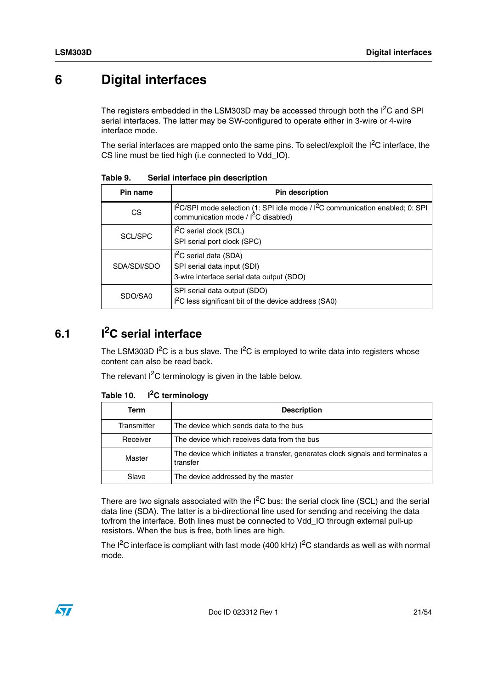## <span id="page-20-0"></span>**6 Digital interfaces**

The registers embedded in the LSM303D may be accessed through both the  $I<sup>2</sup>C$  and SPI serial interfaces. The latter may be SW-configured to operate either in 3-wire or 4-wire interface mode.

The serial interfaces are mapped onto the same pins. To select/exploit the  $1^2C$  interface, the CS line must be tied high (i.e connected to Vdd\_IO).

| Pin name    | <b>Pin description</b>                                                                                                   |
|-------------|--------------------------------------------------------------------------------------------------------------------------|
| CS.         | $I2C/SPI$ mode selection (1: SPI idle mode / $I2C$ communication enabled; 0: SPI<br>communication mode / $I2C$ disabled) |
| SCL/SPC     | $I2C$ serial clock (SCL)<br>SPI serial port clock (SPC)                                                                  |
| SDA/SDI/SDO | I <sup>2</sup> C serial data (SDA)<br>SPI serial data input (SDI)<br>3-wire interface serial data output (SDO)           |
| SDO/SA0     | SPI serial data output (SDO)<br>$I2C$ less significant bit of the device address (SA0)                                   |

<span id="page-20-2"></span>**Table 9. Serial interface pin description**

## <span id="page-20-1"></span>**6.1 I2C serial interface**

The LSM303D  $I^2C$  is a bus slave. The  $I^2C$  is employed to write data into registers whose content can also be read back.

The relevant  $I^2C$  terminology is given in the table below.

| Term        | <b>Description</b>                                                                          |
|-------------|---------------------------------------------------------------------------------------------|
| Transmitter | The device which sends data to the bus                                                      |
| Receiver    | The device which receives data from the bus                                                 |
| Master      | The device which initiates a transfer, generates clock signals and terminates a<br>transfer |
| Slave       | The device addressed by the master                                                          |

#### <span id="page-20-3"></span>Table 10. **T**<sup>2</sup>C terminology

There are two signals associated with the  $I^2C$  bus: the serial clock line (SCL) and the serial data line (SDA). The latter is a bi-directional line used for sending and receiving the data to/from the interface. Both lines must be connected to Vdd\_IO through external pull-up resistors. When the bus is free, both lines are high.

The  $I^2C$  interface is compliant with fast mode (400 kHz)  $I^2C$  standards as well as with normal mode.

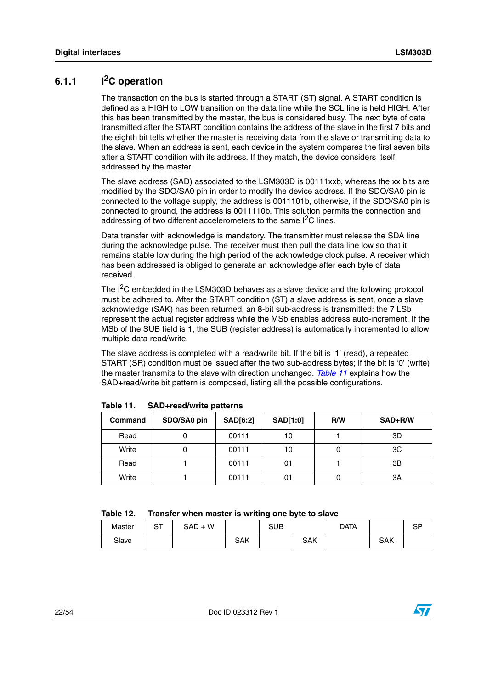### <span id="page-21-0"></span>**6.1.1 I2C operation**

The transaction on the bus is started through a START (ST) signal. A START condition is defined as a HIGH to LOW transition on the data line while the SCL line is held HIGH. After this has been transmitted by the master, the bus is considered busy. The next byte of data transmitted after the START condition contains the address of the slave in the first 7 bits and the eighth bit tells whether the master is receiving data from the slave or transmitting data to the slave. When an address is sent, each device in the system compares the first seven bits after a START condition with its address. If they match, the device considers itself addressed by the master.

The slave address (SAD) associated to the LSM303D is 00111xxb, whereas the xx bits are modified by the SDO/SA0 pin in order to modify the device address. If the SDO/SA0 pin is connected to the voltage supply, the address is 0011101b, otherwise, if the SDO/SA0 pin is connected to ground, the address is 0011110b. This solution permits the connection and addressing of two different accelerometers to the same I<sup>2</sup>C lines.

Data transfer with acknowledge is mandatory. The transmitter must release the SDA line during the acknowledge pulse. The receiver must then pull the data line low so that it remains stable low during the high period of the acknowledge clock pulse. A receiver which has been addressed is obliged to generate an acknowledge after each byte of data received.

The I<sup>2</sup>C embedded in the LSM303D behaves as a slave device and the following protocol must be adhered to. After the START condition (ST) a slave address is sent, once a slave acknowledge (SAK) has been returned, an 8-bit sub-address is transmitted: the 7 LSb represent the actual register address while the MSb enables address auto-increment. If the MSb of the SUB field is 1, the SUB (register address) is automatically incremented to allow multiple data read/write.

The slave address is completed with a read/write bit. If the bit is '1' (read), a repeated START (SR) condition must be issued after the two sub-address bytes; if the bit is '0' (write) the master transmits to the slave with direction unchanged. *[Table 11](#page-21-1)* explains how the SAD+read/write bit pattern is composed, listing all the possible configurations.

| <b>Command</b> | SDO/SA0 pin | <b>SAD[6:2]</b> | <b>SAD[1:0]</b> | R/W | SAD+R/W |
|----------------|-------------|-----------------|-----------------|-----|---------|
| Read           |             | 00111           | 10              |     | 3D      |
| Write          |             | 00111           | 10              |     | 3C      |
| Read           |             | 00111           | 01              |     | 3B      |
| Write          |             | 00111           | 01              |     | 3A      |

<span id="page-21-1"></span>**Table 11. SAD+read/write patterns**

<span id="page-21-2"></span>

| Table 12. |  |  | Transfer when master is writing one byte to slave |
|-----------|--|--|---------------------------------------------------|
|-----------|--|--|---------------------------------------------------|

| Master | ∼∼<br>ັ | $SAD + W$ |     | SUB |            | Data |            | cd<br>יט |
|--------|---------|-----------|-----|-----|------------|------|------------|----------|
| Slave  |         |           | SAK |     | <b>SAK</b> |      | <b>SAK</b> |          |

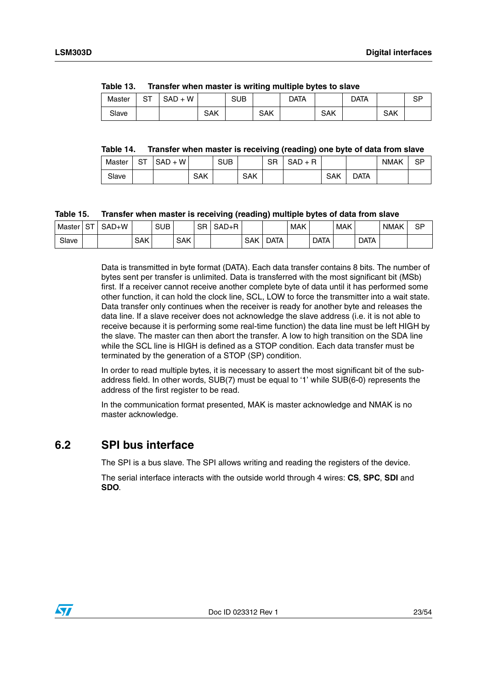<span id="page-22-1"></span>

| Table 13. | Transfer when master is writing multiple bytes to slave |  |
|-----------|---------------------------------------------------------|--|

| Master | ∼∼<br>ت | W<br>SAD<br>$+$ |     | <b>SUB</b> |     | Data |            | Data |     | <b>CD</b><br>ات |
|--------|---------|-----------------|-----|------------|-----|------|------------|------|-----|-----------------|
| Slave  |         |                 | SAK |            | SAK |      | <b>SAK</b> |      | SAK |                 |

#### <span id="page-22-2"></span>**Table 14. Transfer when master is receiving (reading) one byte of data from slave**

| Master | ~-<br>51 | W<br>SAD |            | <b>SUB</b> |            | <b>SR</b> | R<br>SAD<br>` ⊥ |     |      | <b>NMAK</b> | SP |
|--------|----------|----------|------------|------------|------------|-----------|-----------------|-----|------|-------------|----|
| Slave  |          |          | <b>SAK</b> |            | <b>SAK</b> |           |                 | SAK | data |             |    |

### <span id="page-22-3"></span>**Table 15. Transfer when master is receiving (reading) multiple bytes of data from slave**

| Master | $\sim$ $\sim$<br>∽ | )+W<br>SAD |     | <b>SUB</b> |            | SR | $SAD+R$ |            |             | <b>MAK</b> |             | <b>MAK</b> |             | <b>NMAK</b> | SP |
|--------|--------------------|------------|-----|------------|------------|----|---------|------------|-------------|------------|-------------|------------|-------------|-------------|----|
| Slave  |                    |            | SAK |            | <b>SAK</b> |    |         | <b>SAK</b> | <b>DATA</b> |            | <b>DATA</b> |            | <b>DATA</b> |             |    |

Data is transmitted in byte format (DATA). Each data transfer contains 8 bits. The number of bytes sent per transfer is unlimited. Data is transferred with the most significant bit (MSb) first. If a receiver cannot receive another complete byte of data until it has performed some other function, it can hold the clock line, SCL, LOW to force the transmitter into a wait state. Data transfer only continues when the receiver is ready for another byte and releases the data line. If a slave receiver does not acknowledge the slave address (i.e. it is not able to receive because it is performing some real-time function) the data line must be left HIGH by the slave. The master can then abort the transfer. A low to high transition on the SDA line while the SCL line is HIGH is defined as a STOP condition. Each data transfer must be terminated by the generation of a STOP (SP) condition.

In order to read multiple bytes, it is necessary to assert the most significant bit of the subaddress field. In other words, SUB(7) must be equal to '1' while SUB(6-0) represents the address of the first register to be read.

In the communication format presented, MAK is master acknowledge and NMAK is no master acknowledge.

### <span id="page-22-0"></span>**6.2 SPI bus interface**

The SPI is a bus slave. The SPI allows writing and reading the registers of the device.

The serial interface interacts with the outside world through 4 wires: **CS**, **SPC**, **SDI** and **SDO**.

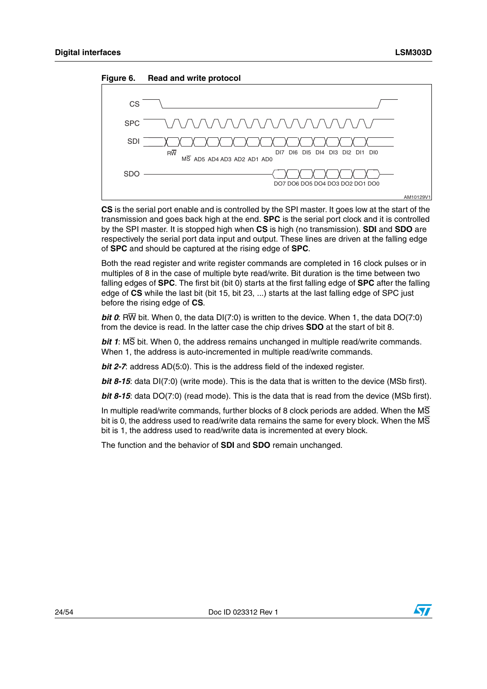<span id="page-23-0"></span>



**CS** is the serial port enable and is controlled by the SPI master. It goes low at the start of the transmission and goes back high at the end. **SPC** is the serial port clock and it is controlled by the SPI master. It is stopped high when **CS** is high (no transmission). **SDI** and **SDO** are respectively the serial port data input and output. These lines are driven at the falling edge of **SPC** and should be captured at the rising edge of **SPC**.

Both the read register and write register commands are completed in 16 clock pulses or in multiples of 8 in the case of multiple byte read/write. Bit duration is the time between two falling edges of **SPC**. The first bit (bit 0) starts at the first falling edge of **SPC** after the falling edge of **CS** while the last bit (bit 15, bit 23, ...) starts at the last falling edge of SPC just before the rising edge of **CS**.

*bit 0*: RW bit. When 0, the data DI(7:0) is written to the device. When 1, the data DO(7:0) from the device is read. In the latter case the chip drives **SDO** at the start of bit 8.

*bit 1*: MS bit. When 0, the address remains unchanged in multiple read/write commands. When 1, the address is auto-incremented in multiple read/write commands.

*bit 2-7*: address AD(5:0). This is the address field of the indexed register.

*bit 8-15*: data DI(7:0) (write mode). This is the data that is written to the device (MSb first).

*bit 8-15*: data DO(7:0) (read mode). This is the data that is read from the device (MSb first).

In multiple read/write commands, further blocks of 8 clock periods are added. When the  $\overline{\text{MS}}$ bit is 0, the address used to read/write data remains the same for every block. When the  $\overline{MS}$ bit is 1, the address used to read/write data is incremented at every block.

The function and the behavior of **SDI** and **SDO** remain unchanged.

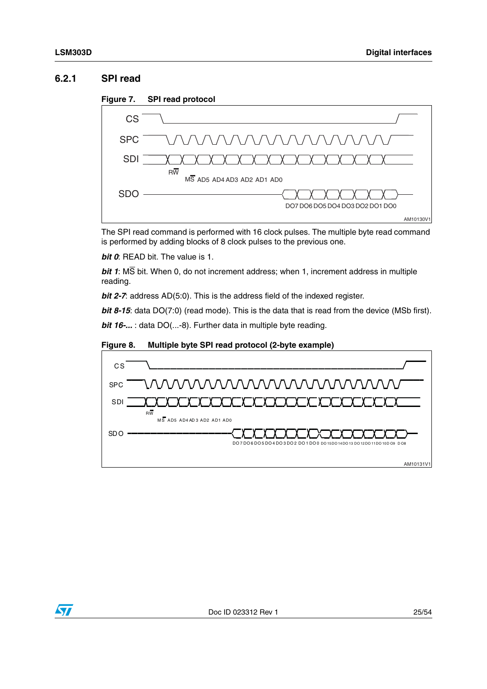### <span id="page-24-0"></span>**6.2.1 SPI read**

<span id="page-24-1"></span>



The SPI read command is performed with 16 clock pulses. The multiple byte read command is performed by adding blocks of 8 clock pulses to the previous one.

*bit 0*: READ bit. The value is 1.

*bit 1*: MS bit. When 0, do not increment address; when 1, increment address in multiple reading.

*bit 2-7*: address AD(5:0). This is the address field of the indexed register.

*bit 8-15*: data DO(7:0) (read mode). This is the data that is read from the device (MSb first).

*bit 16-...* : data DO(...-8). Further data in multiple byte reading.

<span id="page-24-2"></span>



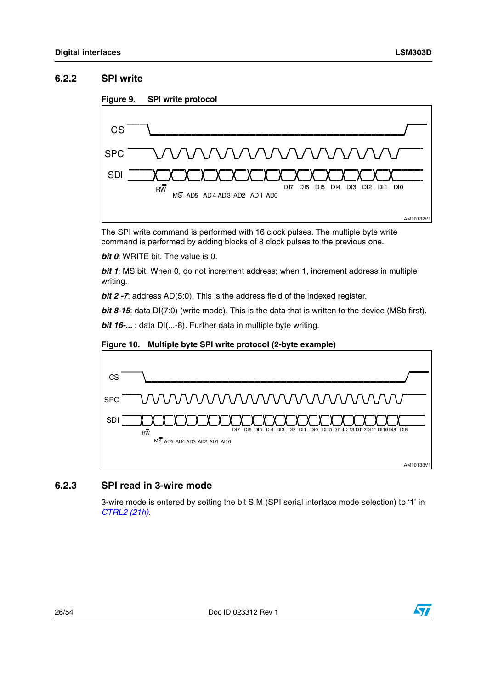### <span id="page-25-0"></span>**6.2.2 SPI write**

<span id="page-25-2"></span>



The SPI write command is performed with 16 clock pulses. The multiple byte write command is performed by adding blocks of 8 clock pulses to the previous one.

*bit 0*: WRITE bit. The value is 0.

*bit 1*: MS bit. When 0, do not increment address; when 1, increment address in multiple writing.

*bit 2 -7*: address AD(5:0). This is the address field of the indexed register.

*bit 8-15*: data DI(7:0) (write mode). This is the data that is written to the device (MSb first).

*bit 16-...* : data DI(...-8). Further data in multiple byte writing.



### <span id="page-25-3"></span>**Figure 10. Multiple byte SPI write protocol (2-byte example)**

### <span id="page-25-1"></span>**6.2.3 SPI read in 3-wire mode**

3-wire mode is entered by setting the bit SIM (SPI serial interface mode selection) to '1' in *[CTRL2 \(21h\)](#page-35-0)*.

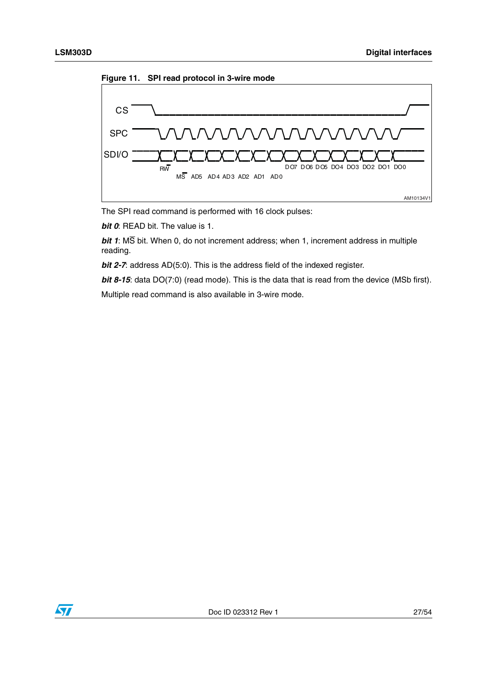<span id="page-26-0"></span>



The SPI read command is performed with 16 clock pulses:

*bit 0*: READ bit. The value is 1.

*bit 1*: MS bit. When 0, do not increment address; when 1, increment address in multiple reading.

*bit 2-7*: address AD(5:0). This is the address field of the indexed register.

**bit 8-15**: data DO(7:0) (read mode). This is the data that is read from the device (MSb first).

Multiple read command is also available in 3-wire mode.

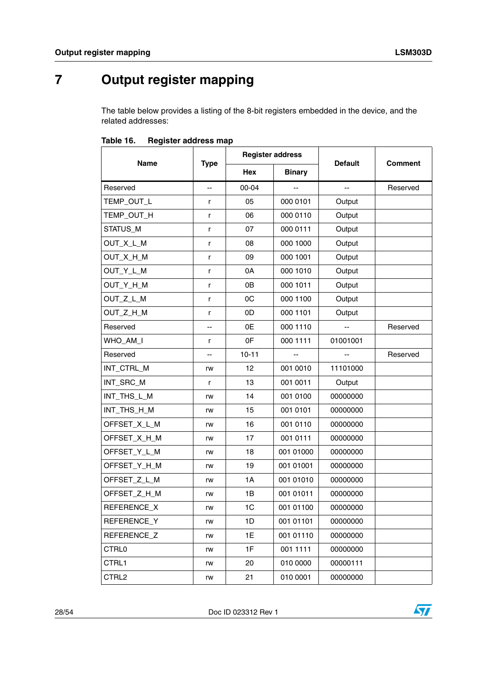## <span id="page-27-0"></span>**7 Output register mapping**

The table below provides a listing of the 8-bit registers embedded in the device, and the related addresses:

|                   |             | <b>Register address</b> |               |                |                |  |
|-------------------|-------------|-------------------------|---------------|----------------|----------------|--|
| Name              | <b>Type</b> | <b>Hex</b>              | <b>Binary</b> | <b>Default</b> | <b>Comment</b> |  |
| Reserved          | Ш,          | 00-04                   | --            | uu             | Reserved       |  |
| TEMP_OUT_L        | r           | 05                      | 000 0101      | Output         |                |  |
| TEMP_OUT_H        | r           | 06                      | 000 0110      | Output         |                |  |
| STATUS_M          | r           | 07                      | 000 0111      | Output         |                |  |
| OUT_X_L_M         | r           | 08                      | 000 1000      | Output         |                |  |
| OUT_X_H_M         | r           | 09                      | 000 1001      | Output         |                |  |
| OUT_Y_L_M         | r           | 0A                      | 000 1010      | Output         |                |  |
| OUT_Y_H_M         | r           | 0B                      | 000 1011      | Output         |                |  |
| OUT_Z_L_M         | r           | 0C                      | 000 1100      | Output         |                |  |
| OUT_Z_H_M         | r           | 0D                      | 000 1101      | Output         |                |  |
| Reserved          | --          | 0E                      | 000 1110      |                | Reserved       |  |
| WHO_AM_I          | r           | 0F                      | 000 1111      | 01001001       |                |  |
| Reserved          | --          | $10 - 11$               |               |                | Reserved       |  |
| INT_CTRL_M        | rw          | 12                      | 001 0010      | 11101000       |                |  |
| INT_SRC_M         | r           | 13                      | 001 0011      | Output         |                |  |
| INT_THS_L_M       | rw          | 14                      | 001 0100      | 00000000       |                |  |
| INT_THS_H_M       | rw          | 15                      | 001 0101      | 00000000       |                |  |
| OFFSET_X_L_M      | rw          | 16                      | 001 0110      | 00000000       |                |  |
| OFFSET_X_H_M      | rw          | 17                      | 001 0111      | 00000000       |                |  |
| OFFSET_Y_L_M      | rw          | 18                      | 001 01000     | 00000000       |                |  |
| OFFSET_Y_H_M      | rw          | 19                      | 001 01001     | 00000000       |                |  |
| OFFSET_Z_L_M      | rw          | 1A                      | 001 01010     | 00000000       |                |  |
| OFFSET_Z_H_M      | rw          | 1B                      | 001 01011     | 00000000       |                |  |
| REFERENCE_X       | rw          | 1C                      | 001 01100     | 00000000       |                |  |
| REFERENCE_Y       | rw          | 1D                      | 001 01101     | 00000000       |                |  |
| REFERENCE Z       | rw          | 1E                      | 001 01110     | 00000000       |                |  |
| CTRL <sub>0</sub> | rw          | 1F                      | 001 1111      | 00000000       |                |  |
| CTRL1             | rw          | 20                      | 010 0000      | 00000111       |                |  |
| CTRL2             | rw          | 21                      | 010 0001      | 00000000       |                |  |

<span id="page-27-1"></span>Table 16. **Register address map** 

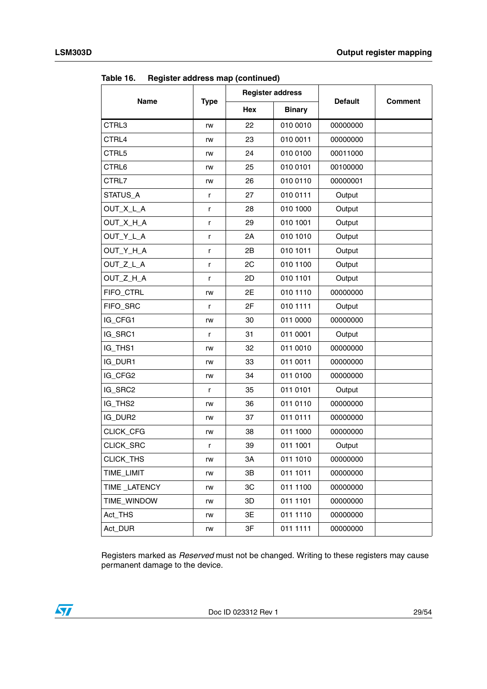|              |              | <b>Register address</b> |               | <b>Default</b> |                |  |
|--------------|--------------|-------------------------|---------------|----------------|----------------|--|
| <b>Name</b>  | <b>Type</b>  | Hex                     | <b>Binary</b> |                | <b>Comment</b> |  |
| CTRL3        | rw           | 22                      | 010 0010      | 00000000       |                |  |
| CTRL4        | rw           | 23                      | 010 0011      | 00000000       |                |  |
| CTRL5        | rw           | 24                      | 010 0100      | 00011000       |                |  |
| CTRL6        | rw           | 25                      | 010 0101      | 00100000       |                |  |
| CTRL7        | rw           | 26                      | 010 0110      | 00000001       |                |  |
| STATUS_A     | r            | 27                      | 010 0111      | Output         |                |  |
| OUT_X_L_A    | r            | 28                      | 010 1000      | Output         |                |  |
| OUT_X_H_A    | r            | 29                      | 010 1001      | Output         |                |  |
| OUT_Y_L_A    | r            | 2A                      | 010 1010      | Output         |                |  |
| OUT_Y_H_A    | r            | 2B                      | 010 1011      | Output         |                |  |
| OUT_Z_L_A    | $\mathsf{r}$ | 2C                      | 010 1100      | Output         |                |  |
| OUT_Z_H_A    | r            | 2D                      | 010 1101      | Output         |                |  |
| FIFO_CTRL    | rw           | 2E                      | 010 1110      | 00000000       |                |  |
| FIFO_SRC     | r            | 2F                      | 010 1111      | Output         |                |  |
| IG_CFG1      | rw           | 30                      | 011 0000      | 00000000       |                |  |
| IG_SRC1      | r            | 31                      | 011 0001      | Output         |                |  |
| IG_THS1      | rw           | 32                      | 011 0010      | 00000000       |                |  |
| IG_DUR1      | rw           | 33                      | 011 0011      | 00000000       |                |  |
| IG_CFG2      | rw           | 34                      | 011 0100      | 00000000       |                |  |
| IG_SRC2      | r            | 35                      | 011 0101      | Output         |                |  |
| IG_THS2      | rw           | 36                      | 011 0110      | 00000000       |                |  |
| IG_DUR2      | rw           | 37                      | 011 0111      | 00000000       |                |  |
| CLICK_CFG    | rw           | 38                      | 011 1000      | 00000000       |                |  |
| CLICK_SRC    | r            | 39                      | 011 1001      | Output         |                |  |
| CLICK_THS    | rw           | ЗΑ                      | 011 1010      | 00000000       |                |  |
| TIME_LIMIT   | rw           | 3B                      | 011 1011      | 00000000       |                |  |
| TIME_LATENCY | rw           | 3C                      | 011 1100      | 00000000       |                |  |
| TIME WINDOW  | rw           | 3D                      | 011 1101      | 00000000       |                |  |
| Act_THS      | rw           | 3E                      | 011 1110      | 00000000       |                |  |
| Act DUR      | rw           | 3F                      | 011 1111      | 00000000       |                |  |

**Table 16. Register address map (continued)**

Registers marked as *Reserved* must not be changed. Writing to these registers may cause permanent damage to the device.

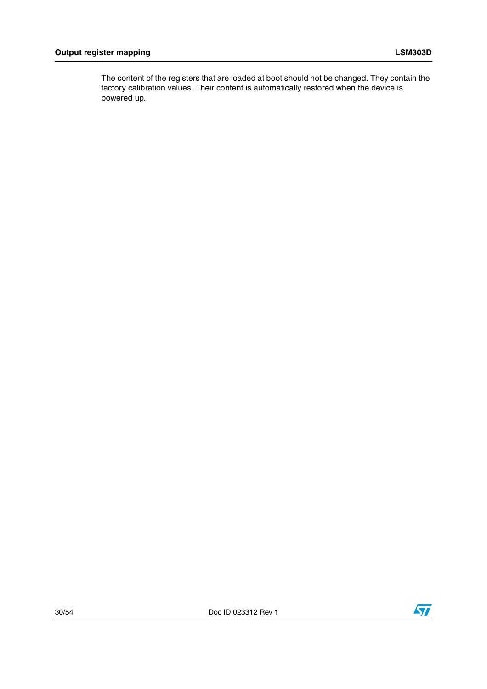The content of the registers that are loaded at boot should not be changed. They contain the factory calibration values. Their content is automatically restored when the device is powered up.

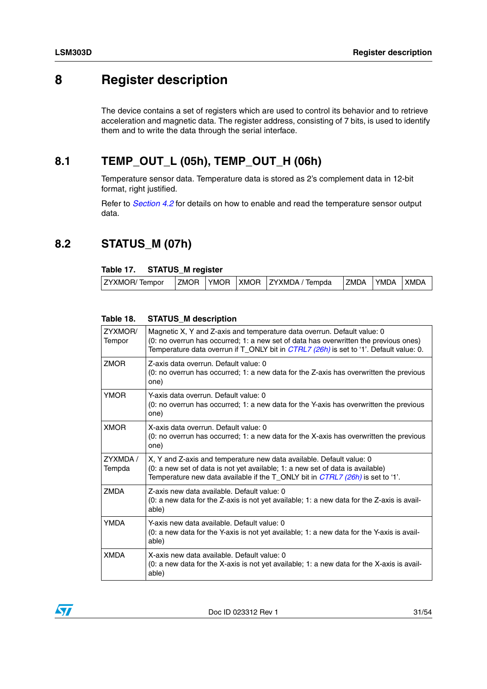## <span id="page-30-0"></span>**8 Register description**

The device contains a set of registers which are used to control its behavior and to retrieve acceleration and magnetic data. The register address, consisting of 7 bits, is used to identify them and to write the data through the serial interface.

## <span id="page-30-1"></span>**8.1 TEMP\_OUT\_L (05h), TEMP\_OUT\_H (06h)**

Temperature sensor data. Temperature data is stored as 2's complement data in 12-bit format, right justified.

Refer to *[Section 4.2](#page-16-2)* for details on how to enable and read the temperature sensor output data.

## <span id="page-30-2"></span>**8.2 STATUS\_M (07h)**

### <span id="page-30-3"></span>**Table 17. STATUS\_M register**

| <b>ZYXMOR/Tempor</b> |  | ZMOR YMOR XMOR ZYXMDA / Tempda | <b>ZMDA</b> | <b>LYMDA</b> | <b>XMDA</b> |
|----------------------|--|--------------------------------|-------------|--------------|-------------|

| ZYXMOR/<br>Tempor  | Magnetic X, Y and Z-axis and temperature data overrun. Default value: 0<br>(0: no overrun has occurred; 1: a new set of data has overwritten the previous ones)<br>Temperature data overrun if T_ONLY bit in <i>CTRL7 (26h)</i> is set to '1'. Default value: 0. |
|--------------------|------------------------------------------------------------------------------------------------------------------------------------------------------------------------------------------------------------------------------------------------------------------|
| <b>ZMOR</b>        | Z-axis data overrun. Default value: 0<br>(0: no overrun has occurred; 1: a new data for the Z-axis has overwritten the previous<br>one)                                                                                                                          |
| <b>YMOR</b>        | Y-axis data overrun. Default value: 0<br>(0: no overrun has occurred; 1: a new data for the Y-axis has overwritten the previous<br>one)                                                                                                                          |
| <b>XMOR</b>        | X-axis data overrun. Default value: 0<br>(0: no overrun has occurred; 1: a new data for the X-axis has overwritten the previous<br>one)                                                                                                                          |
| ZYXMDA /<br>Tempda | X, Y and Z-axis and temperature new data available. Default value: 0<br>(0: a new set of data is not yet available; 1: a new set of data is available)<br>Temperature new data available if the T_ONLY bit in CTRL7 (26h) is set to '1'.                         |
| <b>ZMDA</b>        | Z-axis new data available. Default value: 0<br>(0: a new data for the Z-axis is not yet available; 1: a new data for the Z-axis is avail-<br>able)                                                                                                               |
| <b>YMDA</b>        | Y-axis new data available. Default value: 0<br>(0: a new data for the Y-axis is not yet available; 1: a new data for the Y-axis is avail-<br>able)                                                                                                               |
| <b>XMDA</b>        | X-axis new data available. Default value: 0                                                                                                                                                                                                                      |

### <span id="page-30-4"></span>**Table 18. STATUS\_M description**

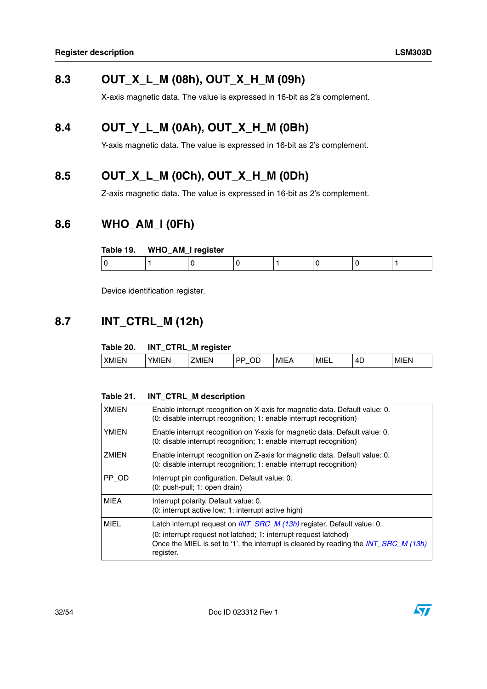## <span id="page-31-0"></span>**8.3 OUT\_X\_L\_M (08h), OUT\_X\_H\_M (09h)**

X-axis magnetic data. The value is expressed in 16-bit as 2's complement.

## <span id="page-31-1"></span>**8.4 OUT\_Y\_L\_M (0Ah), OUT\_X\_H\_M (0Bh)**

Y-axis magnetic data. The value is expressed in 16-bit as 2's complement.

## <span id="page-31-2"></span>**8.5 OUT\_X\_L\_M (0Ch), OUT\_X\_H\_M (0Dh)**

Z-axis magnetic data. The value is expressed in 16-bit as 2's complement.

### <span id="page-31-3"></span>**8.6 WHO\_AM\_I (0Fh)**

#### <span id="page-31-5"></span>**Table 19. WHO\_AM\_I register**

| __ |  |  |  |
|----|--|--|--|
|    |  |  |  |

Device identification register.

## <span id="page-31-4"></span>**8.7 INT\_CTRL\_M (12h)**

### <span id="page-31-6"></span>**Table 20. INT\_CTRL\_M register**

| 4D<br>$\cdots$<br>$\cdots$<br><b>XMI</b><br>---<br>~-<br>MIH<br>M<br>M<br>. iv.<br>M<br>பட<br>ורי<br>יי | - | - |  |  |  |
|---------------------------------------------------------------------------------------------------------|---|---|--|--|--|
|                                                                                                         |   |   |  |  |  |

#### <span id="page-31-7"></span>**Table 21. INT\_CTRL\_M description**

| <b>XMIEN</b> | Enable interrupt recognition on X-axis for magnetic data. Default value: 0.<br>(0: disable interrupt recognition; 1: enable interrupt recognition)                                                                                                     |
|--------------|--------------------------------------------------------------------------------------------------------------------------------------------------------------------------------------------------------------------------------------------------------|
| <b>YMIEN</b> | Enable interrupt recognition on Y-axis for magnetic data. Default value: 0.<br>(0: disable interrupt recognition; 1: enable interrupt recognition)                                                                                                     |
| ZMIEN        | Enable interrupt recognition on Z-axis for magnetic data. Default value: 0.<br>(0: disable interrupt recognition; 1: enable interrupt recognition)                                                                                                     |
| PP OD        | Interrupt pin configuration. Default value: 0.<br>(0: push-pull; 1: open drain)                                                                                                                                                                        |
| <b>MIEA</b>  | Interrupt polarity. Default value: 0.<br>(0: interrupt active low; 1: interrupt active high)                                                                                                                                                           |
| MIEL         | Latch interrupt request on <i>INT_SRC_M (13h)</i> register. Default value: 0.<br>(0: interrupt request not latched; 1: interrupt request latched)<br>Once the MIEL is set to '1', the interrupt is cleared by reading the INT_SRC_M (13h)<br>register. |

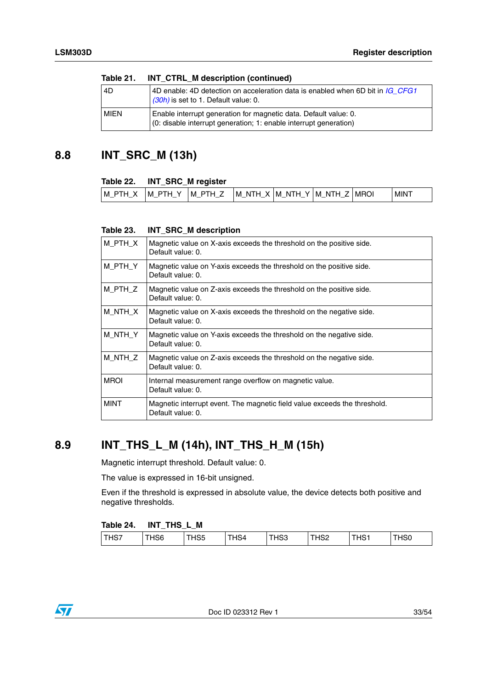| .           | $1111$ $21112$ $11$ $300011$ $2111$                                                                                                   |
|-------------|---------------------------------------------------------------------------------------------------------------------------------------|
| 4D          | 4D enable: 4D detection on acceleration data is enabled when 6D bit in IG CFG1<br>(30h) is set to 1. Default value: 0.                |
| <b>MIEN</b> | Enable interrupt generation for magnetic data. Default value: 0.<br>(0: disable interrupt generation; 1: enable interrupt generation) |

### **Table 21. INT\_CTRL\_M description (continued)**

### <span id="page-32-0"></span>**8.8 INT\_SRC\_M (13h)**

### <span id="page-32-2"></span>**Table 22. INT\_SRC\_M register**

| MIN <sup>-</sup><br>$\overline{\phantom{0}}$<br>l M<br>.<br>M<br>M<br>M<br>-ND<br>'MRC.<br>M<br>N<br>$\cdot$<br>-Ni<br>M<br>. .<br>н<br>. .<br>-<br>$-$ |  |  |  |  |
|---------------------------------------------------------------------------------------------------------------------------------------------------------|--|--|--|--|
|                                                                                                                                                         |  |  |  |  |

### <span id="page-32-3"></span>**Table 23. INT\_SRC\_M description**

| M PTH X     | Magnetic value on X-axis exceeds the threshold on the positive side.<br>Default value: 0.      |
|-------------|------------------------------------------------------------------------------------------------|
| M PTH Y     | Magnetic value on Y-axis exceeds the threshold on the positive side.<br>Default value: 0.      |
| M PTH Z     | Magnetic value on Z-axis exceeds the threshold on the positive side.<br>Default value: 0.      |
| M NTH X     | Magnetic value on X-axis exceeds the threshold on the negative side.<br>Default value: 0.      |
| M NTH Y     | Magnetic value on Y-axis exceeds the threshold on the negative side.<br>Default value: 0.      |
| M NTH Z     | Magnetic value on Z-axis exceeds the threshold on the negative side.<br>Default value: 0.      |
| <b>MROI</b> | Internal measurement range overflow on magnetic value.<br>Default value: 0.                    |
| <b>MINT</b> | Magnetic interrupt event. The magnetic field value exceeds the threshold.<br>Default value: 0. |

## <span id="page-32-1"></span>**8.9 INT\_THS\_L\_M (14h), INT\_THS\_H\_M (15h)**

Magnetic interrupt threshold. Default value: 0.

The value is expressed in 16-bit unsigned.

Even if the threshold is expressed in absolute value, the device detects both positive and negative thresholds.

### <span id="page-32-4"></span>**Table 24. INT\_THS\_L\_M**

| -----<br>THS7<br>$\mathbb{Z}$ 100.<br><b>10</b><br>THS4<br><b>TI IOC</b><br>155<br>. כד<br>152<br>⊓ാാ<br>−<br>поо<br>ിയ |
|-------------------------------------------------------------------------------------------------------------------------|
|-------------------------------------------------------------------------------------------------------------------------|

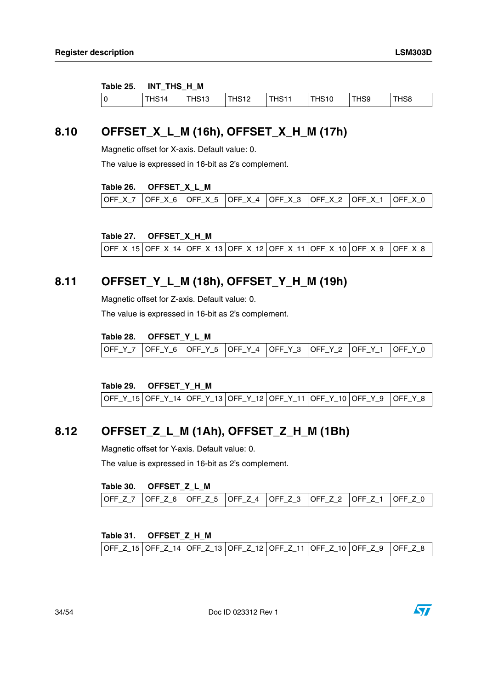#### <span id="page-33-3"></span>**Table 25. INT\_THS\_H\_M**

| HS <sub>10</sub><br>T11044<br>4912<br>HS9<br>HS8<br>14<br>12<br>ה-<br>הרי<br>ு⊓்<br>- ات<br>ں ا |  | ______ |  |  |  |
|-------------------------------------------------------------------------------------------------|--|--------|--|--|--|
|                                                                                                 |  |        |  |  |  |

## <span id="page-33-0"></span>**8.10 OFFSET\_X\_L\_M (16h), OFFSET\_X\_H\_M (17h)**

Magnetic offset for X-axis. Default value: 0.

The value is expressed in 16-bit as 2's complement.

#### <span id="page-33-4"></span>**Table 26. OFFSET\_X\_L\_M**

| OFF X 7  OFF X 6  OFF X 5  OFF X 4  OFF X 3  OFF X 2  OFF X 1 <sub> </sub> |  |  |  |  |  | LOFF X 0 |
|----------------------------------------------------------------------------|--|--|--|--|--|----------|
|----------------------------------------------------------------------------|--|--|--|--|--|----------|

<span id="page-33-5"></span>**Table 27. OFFSET\_X\_H\_M** 

|  |  |  |  |  |  | OFF_X_15  OFF_X_14  OFF_X_13  OFF_X_12  OFF_X_11  OFF_X_10  OFF_X_9    OFF_X_8 |  |
|--|--|--|--|--|--|--------------------------------------------------------------------------------|--|
|--|--|--|--|--|--|--------------------------------------------------------------------------------|--|

### <span id="page-33-1"></span>**8.11 OFFSET\_Y\_L\_M (18h), OFFSET\_Y\_H\_M (19h)**

Magnetic offset for Z-axis. Default value: 0.

The value is expressed in 16-bit as 2's complement.

#### <span id="page-33-6"></span>**Table 28. OFFSET\_Y\_L\_M**

| OFF Y 7  OFF Y 6  OFF Y 5  OFF Y 4  OFF Y 3  OFF Y 2  OFF Y 1  OFF Y 0 |  |  |  |  |  |  |  |
|------------------------------------------------------------------------|--|--|--|--|--|--|--|
|------------------------------------------------------------------------|--|--|--|--|--|--|--|

#### <span id="page-33-7"></span>**Table 29. OFFSET\_Y\_H\_M**

|  |  | OFF_Y_15   OFF_Y_14   OFF_Y_13   OFF_Y_12   OFF_Y_11   OFF_Y_10   OFF_Y_9   OFF_Y_8 |  |
|--|--|-------------------------------------------------------------------------------------|--|
|  |  |                                                                                     |  |

### <span id="page-33-2"></span>**8.12 OFFSET\_Z\_L\_M (1Ah), OFFSET\_Z\_H\_M (1Bh)**

Magnetic offset for Y-axis. Default value: 0.

The value is expressed in 16-bit as 2's complement.

#### <span id="page-33-8"></span>**Table 30. OFFSET\_Z\_L\_M**

#### <span id="page-33-9"></span>**Table 31. OFFSET\_Z\_H\_M**

| OFF_Z_15  OFF_Z_14  OFF_Z_13  OFF_Z_12  OFF_Z_11  OFF_Z_10  OFF_Z_9  OFF_Z_8 |  |  |  |
|------------------------------------------------------------------------------|--|--|--|
|------------------------------------------------------------------------------|--|--|--|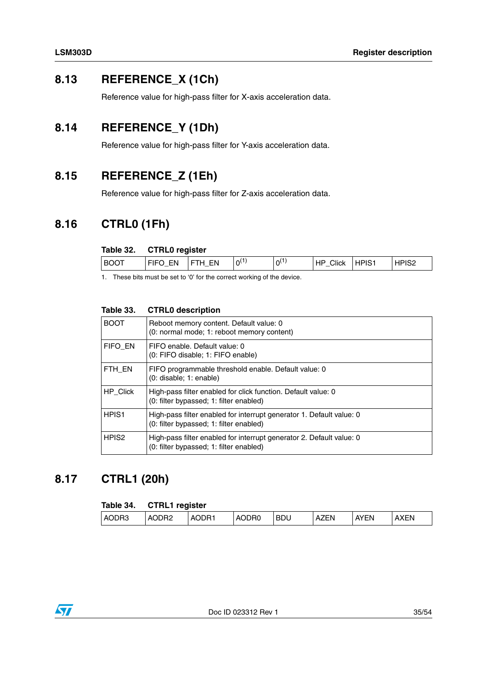## <span id="page-34-0"></span>**8.13 REFERENCE\_X (1Ch)**

Reference value for high-pass filter for X-axis acceleration data.

## <span id="page-34-1"></span>**8.14 REFERENCE\_Y (1Dh)**

Reference value for high-pass filter for Y-axis acceleration data.

## <span id="page-34-2"></span>**8.15 REFERENCE\_Z (1Eh)**

Reference value for high-pass filter for Z-axis acceleration data.

### <span id="page-34-3"></span>**8.16 CTRL0 (1Fh)**

### <span id="page-34-5"></span>**Table 32. CTRL0 register**

| <b>BOOT</b> |
|-------------|
|-------------|

1. These bits must be set to '0' for the correct working of the device.

| <b>BOOT</b>       | Reboot memory content. Default value: 0<br>(0: normal mode; 1: reboot memory content)                           |
|-------------------|-----------------------------------------------------------------------------------------------------------------|
| FIFO EN           | FIFO enable. Default value: 0<br>(0: FIFO disable; 1: FIFO enable)                                              |
| FTH EN            | FIFO programmable threshold enable. Default value: 0<br>$(0:$ disable; $1:$ enable)                             |
| HP Click          | High-pass filter enabled for click function. Default value: 0<br>(0: filter bypassed; 1: filter enabled)        |
| HPIS <sub>1</sub> | High-pass filter enabled for interrupt generator 1. Default value: 0<br>(0: filter bypassed; 1: filter enabled) |
| HPIS <sub>2</sub> | High-pass filter enabled for interrupt generator 2. Default value: 0<br>(0: filter bypassed; 1: filter enabled) |

### <span id="page-34-6"></span>**Table 33. CTRL0 description**

## <span id="page-34-4"></span>**8.17 CTRL1 (20h)**

#### <span id="page-34-7"></span>**Table 34. CTRL1 register**

| AODR3<br><b>IDR</b><br>$\sim$ $\sim$ $\sim$<br><b>AVEN</b><br><b>BDU</b><br>XEN<br>ר P∩<br>ΈN<br>A<br>A<br>ΉN⊤<br>DRC<br>A<br>$\mathbf{v}$<br>$\mathbf{u}$ |  |
|------------------------------------------------------------------------------------------------------------------------------------------------------------|--|
|------------------------------------------------------------------------------------------------------------------------------------------------------------|--|

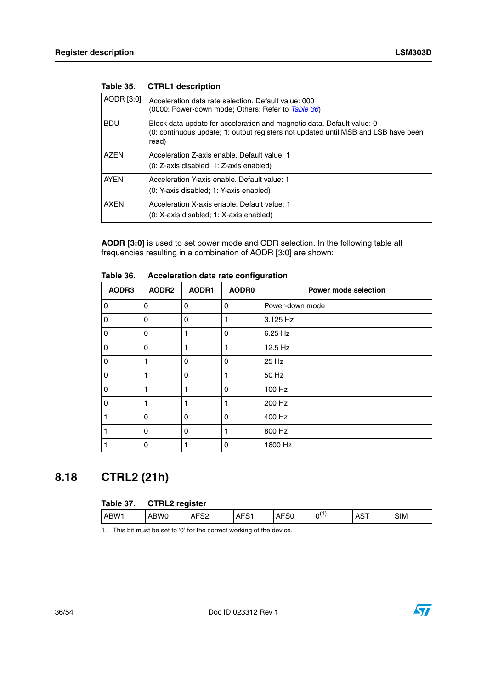| AODR [3:0]  | Acceleration data rate selection. Default value: 000<br>(0000: Power-down mode; Others: Refer to Table 36)                                                            |
|-------------|-----------------------------------------------------------------------------------------------------------------------------------------------------------------------|
| <b>BDU</b>  | Block data update for acceleration and magnetic data. Default value: 0<br>(0: continuous update; 1: output registers not updated until MSB and LSB have been<br>read) |
| <b>AZEN</b> | Acceleration Z-axis enable. Default value: 1<br>(0: Z-axis disabled: 1: Z-axis enabled)                                                                               |
| <b>AYEN</b> | Acceleration Y-axis enable. Default value: 1<br>(0: Y-axis disabled: 1: Y-axis enabled)                                                                               |
| <b>AXFN</b> | Acceleration X-axis enable. Default value: 1<br>(0: X-axis disabled: 1: X-axis enabled)                                                                               |

<span id="page-35-1"></span>

| Table 35. | <b>CTRL1</b> description |
|-----------|--------------------------|
|           |                          |

**AODR [3:0]** is used to set power mode and ODR selection. In the following table all frequencies resulting in a combination of AODR [3:0] are shown:

| AODR3 | AODR <sub>2</sub> | AODR1    | <b>AODR0</b> | Power mode selection |
|-------|-------------------|----------|--------------|----------------------|
| 0     | 0                 | 0        | 0            | Power-down mode      |
| 0     | $\Omega$          | $\Omega$ |              | 3.125 Hz             |
| 0     | $\Omega$          |          | $\Omega$     | 6.25 Hz              |
| 0     | $\Omega$          |          |              | 12.5 Hz              |
| 0     | 1                 | 0        | $\Omega$     | 25 Hz                |
| 0     | 1                 | $\Omega$ |              | 50 Hz                |
| 0     |                   |          | $\Omega$     | 100 Hz               |
| 0     |                   |          |              | 200 Hz               |
|       | 0                 | $\Omega$ | $\Omega$     | 400 Hz               |
|       | 0                 | $\Omega$ |              | 800 Hz               |
|       | 0                 |          | $\Omega$     | 1600 Hz              |

<span id="page-35-2"></span>**Table 36. Acceleration data rate configuration**

## <span id="page-35-0"></span>**8.18 CTRL2 (21h)**

<span id="page-35-3"></span>

| Table 37. CTRL2 register |      |                  |                  |                  |           |            |            |
|--------------------------|------|------------------|------------------|------------------|-----------|------------|------------|
| ABW1                     | ABW0 | AFS <sub>2</sub> | AFS <sub>1</sub> | AFS <sub>0</sub> | $0^{(1)}$ | <b>AST</b> | <b>SIM</b> |

1. This bit must be set to '0' for the correct working of the device.

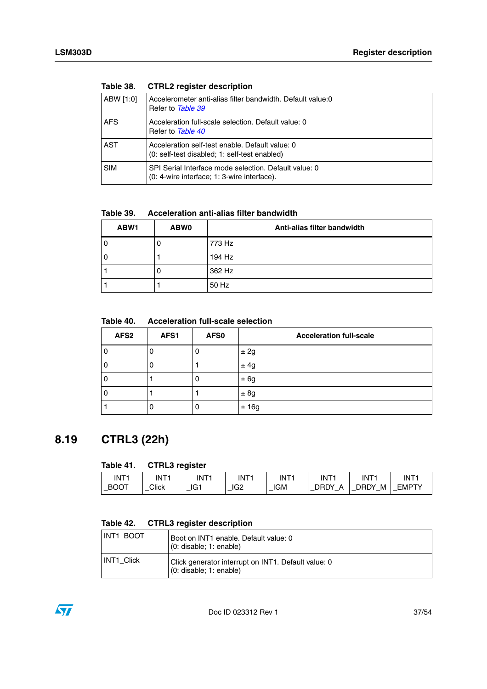| Taple 50.  | <b>UTHE TEGISTED ASSESS</b>                                                                          |
|------------|------------------------------------------------------------------------------------------------------|
| ABW [1:0]  | Accelerometer anti-alias filter bandwidth. Default value:0<br>Refer to Table 39                      |
| <b>AFS</b> | Acceleration full-scale selection. Default value: 0<br>Refer to Table 40                             |
| <b>AST</b> | Acceleration self-test enable. Default value: 0<br>(0: self-test disabled; 1: self-test enabled)     |
| <b>SIM</b> | SPI Serial Interface mode selection. Default value: 0<br>(0: 4-wire interface; 1: 3-wire interface). |

<span id="page-36-1"></span>**Table 38. CTRL2 register description**

<span id="page-36-2"></span>**Table 39. Acceleration anti-alias filter bandwidth**

| ABW1 | <b>ABW0</b> | Anti-alias filter bandwidth |
|------|-------------|-----------------------------|
|      |             | 773 Hz                      |
|      |             | 194 Hz                      |
|      |             | 362 Hz                      |
|      |             | 50 Hz                       |

<span id="page-36-3"></span>**Table 40. Acceleration full-scale selection**

| AFS <sub>2</sub> | AFS1 | AFS0 | <b>Acceleration full-scale</b> |
|------------------|------|------|--------------------------------|
| 0                | U    |      | ± 2g                           |
| 0                | U    |      | ± 4g                           |
| 0                |      | u    | ± 6g                           |
| 0                |      |      | ± 8g                           |
|                  | 0    | U    | ±16g                           |

## <span id="page-36-0"></span>**8.19 CTRL3 (22h)**

### <span id="page-36-4"></span>**Table 41. CTRL3 register**

| INT1                                    | INT1  | INT <sub>1</sub> | INT <sup>.</sup> | INT <sup>2</sup> | INT <sub>1</sub>      | INT <sup>1</sup> | INT <sup>-</sup> |
|-----------------------------------------|-------|------------------|------------------|------------------|-----------------------|------------------|------------------|
| <b>BOOT</b><br>$\overline{\phantom{a}}$ | Click | IG1              | IG <sub>2</sub>  | IGM              | <b>DRDY</b><br>Δ<br>_ | DRDY<br>М<br>_   | <b>EMPTY</b>     |

### <span id="page-36-5"></span>**Table 42. CTRL3 register description**

| INT1 BOOT         | Boot on INT1 enable. Default value: 0<br>(0: disable; 1: enable)               |
|-------------------|--------------------------------------------------------------------------------|
| <b>INT1 Click</b> | Click generator interrupt on INT1. Default value: 0<br>(0: disable; 1: enable) |

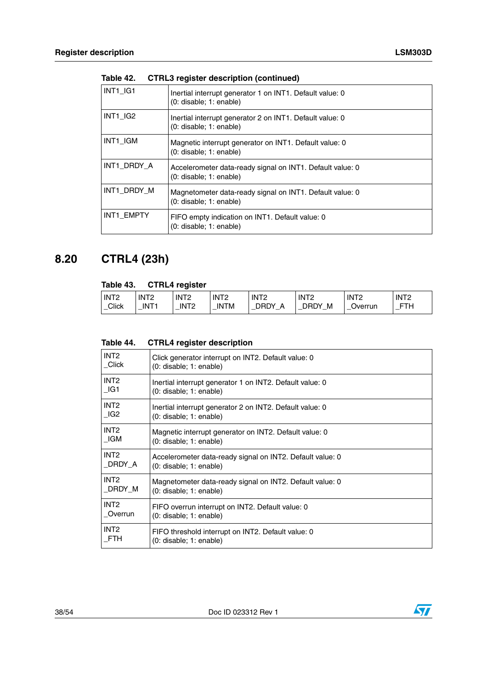| INT1 IG1    | Inertial interrupt generator 1 on INT1. Default value: 0<br>(0: disable; 1: enable)  |
|-------------|--------------------------------------------------------------------------------------|
| INT1 IG2    | Inertial interrupt generator 2 on INT1. Default value: 0<br>(0: disable; 1: enable)  |
| INT1 IGM    | Magnetic interrupt generator on INT1. Default value: 0<br>(0: disable; 1: enable)    |
| INT1 DRDY A | Accelerometer data-ready signal on INT1. Default value: 0<br>(0: disable; 1: enable) |
| INT1 DRDY M | Magnetometer data-ready signal on INT1. Default value: 0<br>(0: disable; 1: enable)  |
| INT1 EMPTY  | FIFO empty indication on INT1. Default value: 0<br>(0: disable; 1: enable)           |

**Table 42. CTRL3 register description (continued)**

## <span id="page-37-0"></span>**8.20 CTRL4 (23h)**

### <span id="page-37-1"></span>**Table 43. CTRL4 register**

| INT <sub>2</sub> | INT <sub>2</sub> | INT <sub>2</sub> | INT <sub>2</sub> | INT <sub>2</sub> | INT <sub>2</sub>    | INT <sub>2</sub> | INT <sub>2</sub> |
|------------------|------------------|------------------|------------------|------------------|---------------------|------------------|------------------|
| Click<br>. —     | INT <sup>1</sup> | INT <sub>2</sub> | 'TM<br>IN<br>–   | DRDY<br>–        | )RDY<br>м<br>–<br>_ | Jverrun          | <b>FTH</b>       |
|                  |                  |                  |                  |                  |                     |                  |                  |

<span id="page-37-2"></span>

| Table 44. | <b>CTRL4 register description</b> |  |
|-----------|-----------------------------------|--|
|-----------|-----------------------------------|--|

| INT <sub>2</sub> | Click generator interrupt on INT2. Default value: 0       |
|------------------|-----------------------------------------------------------|
| Click            | $(0:$ disable; $1:$ enable)                               |
| INT <sub>2</sub> | Inertial interrupt generator 1 on INT2. Default value: 0  |
| $\Box$ G1        | (0: disable; 1: enable)                                   |
| INT <sub>2</sub> | Inertial interrupt generator 2 on INT2. Default value: 0  |
| IG2              | (0: disable; 1: enable)                                   |
| INT <sub>2</sub> | Magnetic interrupt generator on INT2. Default value: 0    |
| IGM              | $(0:$ disable; $1:$ enable)                               |
| INT <sub>2</sub> | Accelerometer data-ready signal on INT2. Default value: 0 |
| _DRDY_A          | $(0:$ disable; $1:$ enable)                               |
| INT <sub>2</sub> | Magnetometer data-ready signal on INT2. Default value: 0  |
| DRDY M           | $(0:$ disable; 1: enable)                                 |
| INT <sub>2</sub> | FIFO overrun interrupt on INT2. Default value: 0          |
| Overrun          | (0: disable; 1: enable)                                   |
| INT <sub>2</sub> | FIFO threshold interrupt on INT2. Default value: 0        |
| FTH              | (0: disable; 1: enable)                                   |

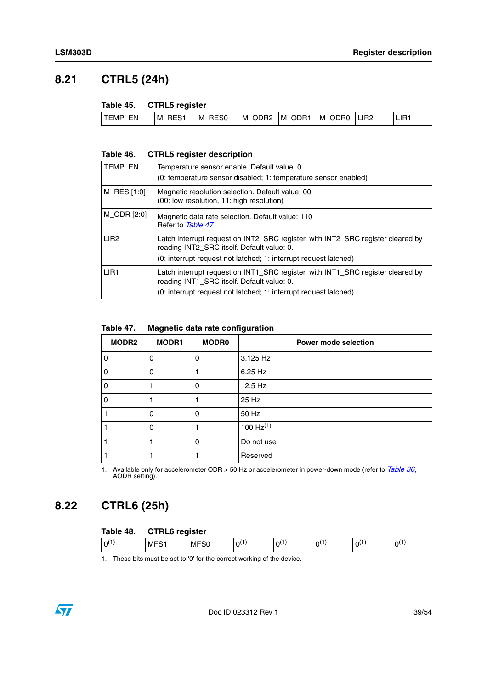## <span id="page-38-0"></span>**8.21 CTRL5 (24h)**

### <span id="page-38-2"></span>**Table 45. CTRL5 register**

| <b>ITEMP</b><br>RES <sub>1</sub><br>FN.<br>м<br>м<br><b>STATE OF ALL AND REAL</b> | ODR <sub>2</sub><br>IM ODR1<br>RES <sub>0</sub><br>м<br>$\frac{1}{2} \left( \frac{1}{2} \right) \left( \frac{1}{2} \right) \left( \frac{1}{2} \right) \left( \frac{1}{2} \right) \left( \frac{1}{2} \right) \left( \frac{1}{2} \right) \left( \frac{1}{2} \right) \left( \frac{1}{2} \right) \left( \frac{1}{2} \right) \left( \frac{1}{2} \right) \left( \frac{1}{2} \right) \left( \frac{1}{2} \right) \left( \frac{1}{2} \right) \left( \frac{1}{2} \right) \left( \frac{1}{2} \right) \left( \frac{1}{2} \right) \left( \frac$ | IM ODR0<br>LIR <sub>2</sub> | LIR <sub>1</sub> |
|-----------------------------------------------------------------------------------|------------------------------------------------------------------------------------------------------------------------------------------------------------------------------------------------------------------------------------------------------------------------------------------------------------------------------------------------------------------------------------------------------------------------------------------------------------------------------------------------------------------------------------|-----------------------------|------------------|
|-----------------------------------------------------------------------------------|------------------------------------------------------------------------------------------------------------------------------------------------------------------------------------------------------------------------------------------------------------------------------------------------------------------------------------------------------------------------------------------------------------------------------------------------------------------------------------------------------------------------------------|-----------------------------|------------------|

#### <span id="page-38-3"></span>**Table 46. CTRL5 register description**

| TEMP_EN          | Temperature sensor enable. Default value: 0<br>(0: temperature sensor disabled: 1: temperature sensor enabled)                                                                                     |
|------------------|----------------------------------------------------------------------------------------------------------------------------------------------------------------------------------------------------|
| M_RES [1:0]      | Magnetic resolution selection. Default value: 00<br>(00: low resolution, 11: high resolution)                                                                                                      |
| M_ODR [2:0]      | Magnetic data rate selection. Default value: 110<br>Refer to Table 47                                                                                                                              |
| LIR <sub>2</sub> | Latch interrupt request on INT2 SRC register, with INT2 SRC register cleared by<br>reading INT2 SRC itself. Default value: 0.<br>(0: interrupt request not latched; 1: interrupt request latched)  |
| LIR <sub>1</sub> | Latch interrupt request on INT1 SRC register, with INT1 SRC register cleared by<br>reading INT1_SRC itself. Default value: 0.<br>(0: interrupt request not latched; 1: interrupt request latched). |

#### <span id="page-38-4"></span>**Table 47. Magnetic data rate configuration**

| <b>MODR2</b>   | <b>MODR1</b> | <b>MODR0</b> | <b>Power mode selection</b> |
|----------------|--------------|--------------|-----------------------------|
| $\overline{0}$ | 0            | 0            | 3.125 Hz                    |
| $\overline{0}$ | $\Omega$     |              | 6.25 Hz                     |
| $\overline{0}$ |              | 0            | 12.5 Hz                     |
| $\overline{0}$ |              |              | 25 Hz                       |
|                | O            | 0            | 50 Hz                       |
|                | 0            |              | 100 $Hz^{(1)}$              |
|                |              | $\Omega$     | Do not use                  |
|                |              |              | Reserved                    |

1. Available only for accelerometer ODR > 50 Hz or accelerometer in power-down mode (refer to *[Table 36,](#page-35-2)*  AODR setting).

## <span id="page-38-1"></span>**8.22 CTRL6 (25h)**

#### <span id="page-38-5"></span>**Table 48. CTRL6 register**

| $\sim$<br>U<br>ΩL<br>nι<br>∩\<br>$\mathbf{u}$<br>MI<br><b>IVII</b><br>. . |  |  |  |  |  |  |  |  |  |
|---------------------------------------------------------------------------|--|--|--|--|--|--|--|--|--|
|---------------------------------------------------------------------------|--|--|--|--|--|--|--|--|--|

1. These bits must be set to '0' for the correct working of the device.

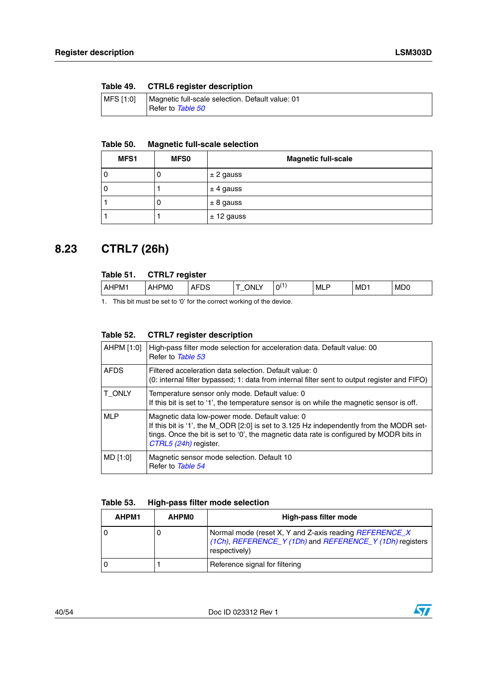<span id="page-39-1"></span>

| Table 49. | <b>CTRL6</b> register description                                     |
|-----------|-----------------------------------------------------------------------|
| MFS [1:0] | Magnetic full-scale selection. Default value: 01<br>Refer to Table 50 |

#### <span id="page-39-2"></span>**Table 50. Magnetic full-scale selection**

| MFS1 | <b>MFS0</b> | <b>Magnetic full-scale</b> |
|------|-------------|----------------------------|
|      |             | $± 2$ gauss                |
|      |             | $\pm$ 4 gauss              |
|      |             | $± 8$ gauss                |
|      |             | $± 12$ gauss               |

## <span id="page-39-0"></span>**8.23 CTRL7 (26h)**

<span id="page-39-3"></span>

| Table 51. | <b>CTRL7</b> register |             |      |           |            |     |                             |
|-----------|-----------------------|-------------|------|-----------|------------|-----|-----------------------------|
| LAHPM1    | AHPM0                 | <b>AFDS</b> | ONLY | $0^{(1)}$ | <b>MLP</b> | MD1 | M <sub>D</sub> <sub>0</sub> |

1. This bit must be set to '0' for the correct working of the device.

### <span id="page-39-4"></span>**Table 52. CTRL7 register description**

| AHPM [1:0]  | High-pass filter mode selection for acceleration data. Default value: 00<br>Refer to Table 53                                                                                                                                                                 |
|-------------|---------------------------------------------------------------------------------------------------------------------------------------------------------------------------------------------------------------------------------------------------------------|
| <b>AFDS</b> | Filtered acceleration data selection. Default value: 0<br>(0: internal filter bypassed; 1: data from internal filter sent to output register and FIFO)                                                                                                        |
| T ONLY      | Temperature sensor only mode. Default value: 0<br>If this bit is set to '1', the temperature sensor is on while the magnetic sensor is off.                                                                                                                   |
| <b>MLP</b>  | Magnetic data low-power mode. Default value: 0<br>If this bit is '1', the M ODR [2:0] is set to 3.125 Hz independently from the MODR set-<br>tings. Once the bit is set to '0', the magnetic data rate is configured by MODR bits in<br>CTRL5 (24h) register. |
| MD [1:0]    | Magnetic sensor mode selection. Default 10<br>Refer to Table 54                                                                                                                                                                                               |

### <span id="page-39-5"></span>**Table 53. High-pass filter mode selection**

| AHPM1 | <b>AHPMO</b> | High-pass filter mode                                                                                                               |
|-------|--------------|-------------------------------------------------------------------------------------------------------------------------------------|
|       |              | Normal mode (reset X, Y and Z-axis reading REFERENCE_X<br>(1Ch), REFERENCE_Y (1Dh) and REFERENCE_Y (1Dh) registers<br>respectively) |
|       |              | Reference signal for filtering                                                                                                      |

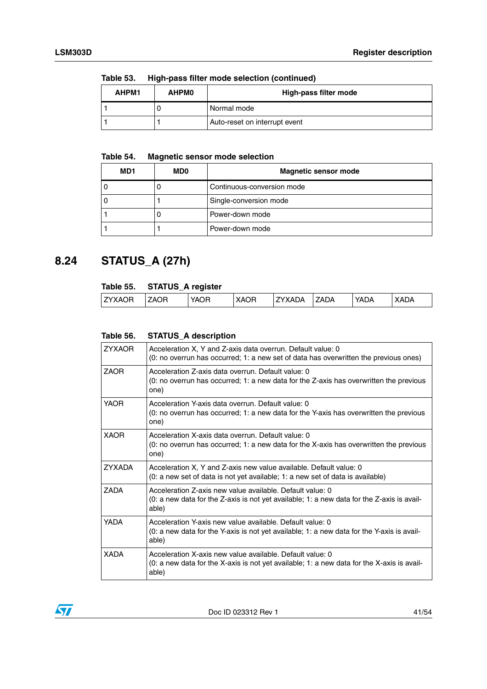| TUNIY VV. |              |                               |  |  |  |  |
|-----------|--------------|-------------------------------|--|--|--|--|
| AHPM1     | <b>AHPMO</b> | High-pass filter mode         |  |  |  |  |
|           |              | Normal mode                   |  |  |  |  |
|           |              | Auto-reset on interrupt event |  |  |  |  |

**Table 53. High-pass filter mode selection (continued)**

### <span id="page-40-1"></span>**Table 54. Magnetic sensor mode selection**

| MD1 | <b>MDO</b> | <b>Magnetic sensor mode</b> |
|-----|------------|-----------------------------|
|     |            | Continuous-conversion mode  |
|     |            | Single-conversion mode      |
|     |            | Power-down mode             |
|     |            | Power-down mode             |

## <span id="page-40-0"></span>**8.24 STATUS\_A (27h)**

### <span id="page-40-2"></span>**Table 55. STATUS\_A register**

|               |      | .    |             |        |             |      |      |
|---------------|------|------|-------------|--------|-------------|------|------|
| <b>ZYXAOR</b> | `AOR | YAOR | <b>XAOR</b> | ZYXADA | <b>ZADA</b> | YADA | XADA |
|               |      |      |             |        |             |      |      |

### <span id="page-40-3"></span>**Table 56. STATUS\_A description**

| <b>ZYXAOR</b> | Acceleration X, Y and Z-axis data overrun. Default value: 0<br>(0: no overrun has occurred; 1: a new set of data has overwritten the previous ones)                |
|---------------|--------------------------------------------------------------------------------------------------------------------------------------------------------------------|
| <b>ZAOR</b>   | Acceleration Z-axis data overrun. Default value: 0<br>(0: no overrun has occurred; 1: a new data for the Z-axis has overwritten the previous<br>one)               |
| <b>YAOR</b>   | Acceleration Y-axis data overrun. Default value: 0<br>(0: no overrun has occurred; 1: a new data for the Y-axis has overwritten the previous<br>one)               |
| <b>XAOR</b>   | Acceleration X-axis data overrun. Default value: 0<br>(0: no overrun has occurred; 1: a new data for the X-axis has overwritten the previous<br>one)               |
| <b>ZYXADA</b> | Acceleration X, Y and Z-axis new value available. Default value: 0<br>(0: a new set of data is not yet available; 1: a new set of data is available)               |
| <b>ZADA</b>   | Acceleration Z-axis new value available. Default value: 0<br>(0: a new data for the Z-axis is not yet available; 1: a new data for the Z-axis is avail-<br>able)   |
| YADA          | Acceleration Y-axis new value available. Default value: 0<br>(0: a new data for the Y-axis is not yet available; 1: a new data for the Y-axis is avail-<br>able)   |
| <b>XADA</b>   | Acceleration X-axis new value available. Default value: 0<br>$(0: a$ new data for the X-axis is not yet available; 1: a new data for the X-axis is avail-<br>able) |

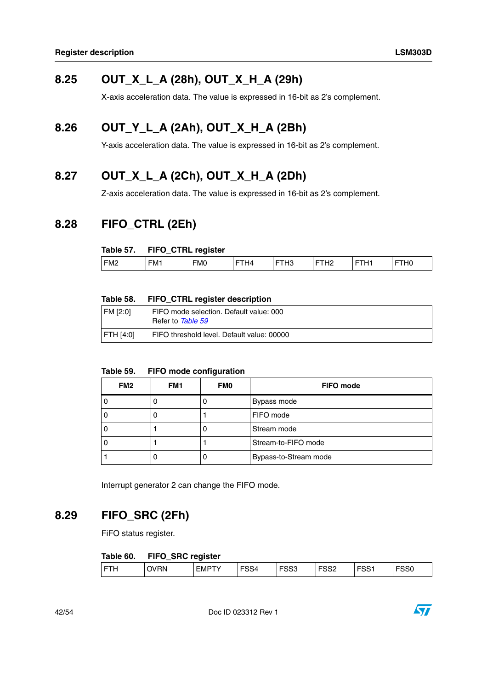## <span id="page-41-0"></span>**8.25 OUT\_X\_L\_A (28h), OUT\_X\_H\_A (29h)**

X-axis acceleration data. The value is expressed in 16-bit as 2's complement.

## <span id="page-41-1"></span>**8.26 OUT\_Y\_L\_A (2Ah), OUT\_X\_H\_A (2Bh)**

Y-axis acceleration data. The value is expressed in 16-bit as 2's complement.

## <span id="page-41-2"></span>**8.27 OUT\_X\_L\_A (2Ch), OUT\_X\_H\_A (2Dh)**

Z-axis acceleration data. The value is expressed in 16-bit as 2's complement.

## <span id="page-41-3"></span>**8.28 FIFO\_CTRL (2Eh)**

### <span id="page-41-5"></span>**Table 57. FIFO\_CTRL register**

| FM1<br>---<br>----<br>FM <sub>0</sub><br>FM <sub>2</sub><br><br>1. LU<br>--<br>—<br>--<br>14<br>- 12 | ___ | <br>___<br>- - |  |  |  |
|------------------------------------------------------------------------------------------------------|-----|----------------|--|--|--|
|                                                                                                      |     |                |  |  |  |

### <span id="page-41-6"></span>**Table 58. FIFO\_CTRL register description**

| FM [2:0] | FIFO mode selection. Default value: 000<br>Refer to Table 59 |
|----------|--------------------------------------------------------------|
| FTH[4:0] | FIFO threshold level. Default value: 00000                   |

### <span id="page-41-7"></span>**Table 59. FIFO mode configuration**

| FM <sub>2</sub> | FM <sub>1</sub> | <b>FMO</b> | <b>FIFO</b> mode      |  |
|-----------------|-----------------|------------|-----------------------|--|
|                 |                 |            | Bypass mode           |  |
|                 |                 |            | FIFO mode             |  |
|                 |                 |            | Stream mode           |  |
|                 |                 |            | Stream-to-FIFO mode   |  |
|                 |                 |            | Bypass-to-Stream mode |  |

Interrupt generator 2 can change the FIFO mode.

## <span id="page-41-4"></span>**8.29 FIFO\_SRC (2Fh)**

FiFO status register.

### <span id="page-41-8"></span>**Table 60. FIFO\_SRC register**

| -^^<br>$-00$<br>rooc<br>$F^{\alpha}$<br>$\blacksquare$<br>$\sim\cdot\cdot\cdot$<br>$F^{\sim}$ |            | -          |                |      |     |   |     |
|-----------------------------------------------------------------------------------------------|------------|------------|----------------|------|-----|---|-----|
|                                                                                               | łN<br>. JV | <b>CMP</b> | 54<br>$\sim$ . | ັບບປ | ےت⊙ | ం | აას |

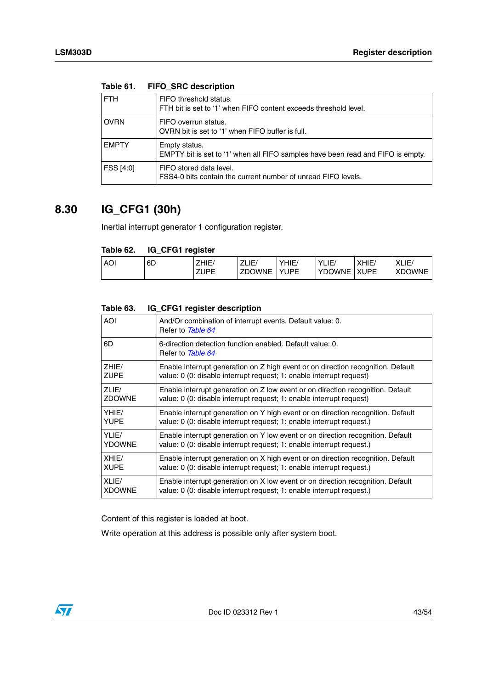| <b>FTH</b>   | FIFO threshold status.<br>FTH bit is set to '1' when FIFO content exceeds threshold level.       |
|--------------|--------------------------------------------------------------------------------------------------|
| <b>OVRN</b>  | FIFO overrun status.<br>OVRN bit is set to '1' when FIFO buffer is full.                         |
| <b>EMPTY</b> | Empty status.<br>EMPTY bit is set to '1' when all FIFO samples have been read and FIFO is empty. |
| FSS [4:0]    | FIFO stored data level.<br>FSS4-0 bits contain the current number of unread FIFO levels.         |

### <span id="page-42-1"></span>**Table 61. FIFO\_SRC description**

## <span id="page-42-0"></span>**8.30 IG\_CFG1 (30h)**

Inertial interrupt generator 1 configuration register.

### <span id="page-42-2"></span>**Table 62. IG\_CFG1 register**

|            |    | --                                   |                       |                            |                                                          |                            |                        |
|------------|----|--------------------------------------|-----------------------|----------------------------|----------------------------------------------------------|----------------------------|------------------------|
| <b>AOI</b> | 6D | <b>71 U.C.</b><br>ZHIE.<br>ZUPE<br>- | ZLIE<br><b>ZDOWNE</b> | <b>YHIE</b><br><b>YUPE</b> | $\mathcal{L}$<br>$\overline{1}$<br>LIE.<br><b>YDOWNE</b> | <b>XHIE</b><br><b>XUPE</b> | (LIE/<br><b>XDOWNE</b> |
|            |    |                                      |                       |                            |                                                          |                            |                        |

#### <span id="page-42-3"></span>**Table 63. IG\_CFG1 register description**

Content of this register is loaded at boot.

Write operation at this address is possible only after system boot.

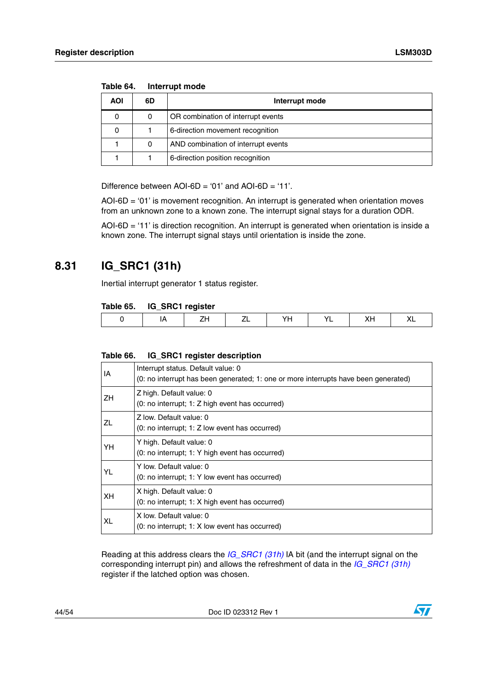| AOI | 6D | Interrupt mode                      |  |  |  |  |  |
|-----|----|-------------------------------------|--|--|--|--|--|
|     |    | OR combination of interrupt events  |  |  |  |  |  |
|     |    | 6-direction movement recognition    |  |  |  |  |  |
|     |    | AND combination of interrupt events |  |  |  |  |  |
|     |    | 6-direction position recognition    |  |  |  |  |  |

<span id="page-43-1"></span>**Table 64. Interrupt mode**

Difference between  $AOI$ - $6D = '01'$  and  $AOI$ - $6D = '11'$ .

AOI-6D = '01' is movement recognition. An interrupt is generated when orientation moves from an unknown zone to a known zone. The interrupt signal stays for a duration ODR.

AOI-6D = '11' is direction recognition. An interrupt is generated when orientation is inside a known zone. The interrupt signal stays until orientation is inside the zone.

### <span id="page-43-0"></span>**8.31 IG\_SRC1 (31h)**

Inertial interrupt generator 1 status register.

### <span id="page-43-2"></span>**Table 65. IG\_SRC1 register**

|  |  |  | . . |
|--|--|--|-----|

#### <span id="page-43-3"></span>**Table 66. IG\_SRC1 register description**

| ΙA        | Interrupt status. Default value: 0<br>(0: no interrupt has been generated; 1: one or more interrupts have been generated) |
|-----------|---------------------------------------------------------------------------------------------------------------------------|
| ΖH        | Z high. Default value: 0<br>(0: no interrupt; 1: Z high event has occurred)                                               |
| <b>ZL</b> | Z low. Default value: 0<br>(0: no interrupt; 1: Z low event has occurred)                                                 |
| YΗ        | Y high. Default value: 0<br>(0: no interrupt; 1: Y high event has occurred)                                               |
| YL        | Y low. Default value: 0<br>(0: no interrupt; 1: Y low event has occurred)                                                 |
| XН        | X high. Default value: 0<br>(0: no interrupt; 1: X high event has occurred)                                               |
| XL        | X low. Default value: 0<br>(0: no interrupt; 1: X low event has occurred)                                                 |

Reading at this address clears the *[IG\\_SRC1 \(31h\)](#page-43-0)* IA bit (and the interrupt signal on the corresponding interrupt pin) and allows the refreshment of data in the *[IG\\_SRC1 \(31h\)](#page-43-0)* register if the latched option was chosen.

44/54 Doc ID 023312 Rev 1

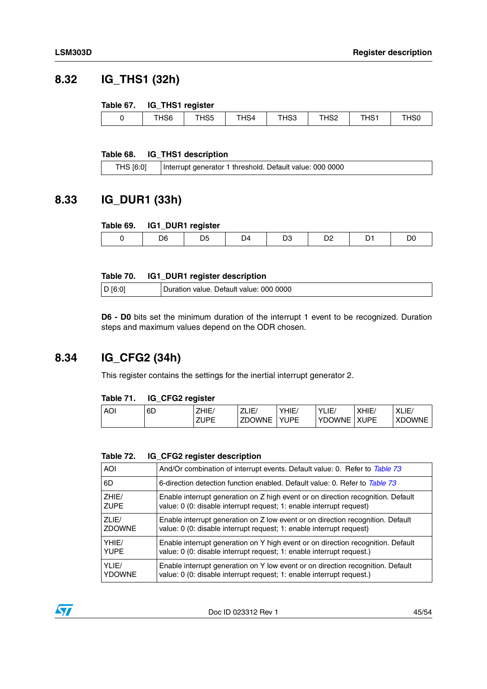## <span id="page-44-0"></span>**8.32 IG\_THS1 (32h)**

### <span id="page-44-3"></span>**Table 67. IG\_THS1 register**

|            | __              |                 |                  |              |               |            |
|------------|-----------------|-----------------|------------------|--------------|---------------|------------|
| 10c<br>סכד | -- -- -<br>,,,, | $-1.0$<br>. HS4 | THS <sub>3</sub> | T1100<br>אסר | TUC.<br>י כה. | <b>HSU</b> |
|            |                 |                 |                  |              |               |            |

### <span id="page-44-4"></span>**Table 68. IG\_THS1 description**

| THS [6:0]<br>Interrupt generator 1 threshold. Default value: 000 0000 |
|-----------------------------------------------------------------------|
|-----------------------------------------------------------------------|

### <span id="page-44-1"></span>**8.33 IG\_DUR1 (33h)**

#### <span id="page-44-5"></span>**Table 69. IG1\_DUR1 register**

|  | ,,, |  |  |
|--|-----|--|--|
|  |     |  |  |

### <span id="page-44-6"></span>**Table 70. IG1\_DUR1 register description**

| D [6:0] | Duration value. Default value: 000 0000 |
|---------|-----------------------------------------|
|---------|-----------------------------------------|

**D6 - D0** bits set the minimum duration of the interrupt 1 event to be recognized. Duration steps and maximum values depend on the ODR chosen.

### <span id="page-44-2"></span>**8.34 IG\_CFG2 (34h)**

This register contains the settings for the inertial interrupt generator 2.

### <span id="page-44-7"></span>**Table 71. IG\_CFG2 register**

| AO' | 6D | HIE         | ZLIE<br>—     | YHIE/       | LIE<br>vı     | XHIE        | XLIE/<br>$\mathbf{v}$ |
|-----|----|-------------|---------------|-------------|---------------|-------------|-----------------------|
|     |    | <b>ZUPE</b> | <b>ZDOWNE</b> | <b>YUPE</b> | <b>YDOWNE</b> | <b>XUPE</b> | <b>XDOWNE</b>         |

#### <span id="page-44-8"></span>**Table 72. IG\_CFG2 register description**

| AOI           | And/Or combination of interrupt events. Default value: 0. Refer to Table 73      |
|---------------|----------------------------------------------------------------------------------|
| 6D            | 6-direction detection function enabled. Default value: 0. Refer to Table 73      |
| ZHIE/         | Enable interrupt generation on Z high event or on direction recognition. Default |
| <b>ZUPE</b>   | value: 0 (0: disable interrupt request; 1: enable interrupt request)             |
| ZLIF/         | Enable interrupt generation on Z low event or on direction recognition. Default  |
| <b>ZDOWNE</b> | value: 0 (0: disable interrupt request; 1: enable interrupt request)             |
| YHIF/         | Enable interrupt generation on Y high event or on direction recognition. Default |
| <b>YUPE</b>   | value: 0 (0: disable interrupt request; 1: enable interrupt request.)            |
| YLIF/         | Enable interrupt generation on Y low event or on direction recognition. Default  |
| <b>YDOWNE</b> | value: 0 (0: disable interrupt request; 1: enable interrupt request.)            |

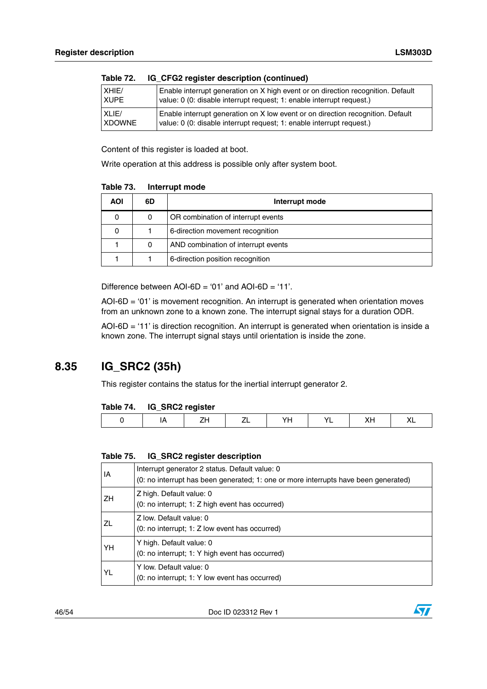| Tapic $\mathcal{L}$ . | <u>id Cruz register description (communed)</u>                                   |
|-----------------------|----------------------------------------------------------------------------------|
| XHIE/                 | Enable interrupt generation on X high event or on direction recognition. Default |
| <b>XUPE</b>           | value: 0 (0: disable interrupt request; 1: enable interrupt request.)            |
| XLIE/                 | Enable interrupt generation on X low event or on direction recognition. Default  |
| <b>XDOWNE</b>         | value: 0 (0: disable interrupt request; 1: enable interrupt request.)            |

| IG_CFG2 register description (continued) |
|------------------------------------------|
|                                          |

Content of this register is loaded at boot.

Write operation at this address is possible only after system boot.

<span id="page-45-1"></span>

| Table 73. | Interrupt mode |
|-----------|----------------|
|-----------|----------------|

| <b>AOI</b> | 6D | Interrupt mode                      |  |
|------------|----|-------------------------------------|--|
|            | 0  | OR combination of interrupt events  |  |
|            |    | 6-direction movement recognition    |  |
|            | 0  | AND combination of interrupt events |  |
|            |    | 6-direction position recognition    |  |

Difference between AOI-6D = '01' and AOI-6D = '11'.

 $AOI-6D = '01'$  is movement recognition. An interrupt is generated when orientation moves from an unknown zone to a known zone. The interrupt signal stays for a duration ODR.

AOI-6D = '11' is direction recognition. An interrupt is generated when orientation is inside a known zone. The interrupt signal stays until orientation is inside the zone.

### <span id="page-45-0"></span>**8.35 IG\_SRC2 (35h)**

This register contains the status for the inertial interrupt generator 2.

### <span id="page-45-2"></span>**Table 74. IG\_SRC2 register**

|--|--|--|--|--|--|--|--|

#### <span id="page-45-3"></span>**Table 75. IG\_SRC2 register description**

| ΙA | Interrupt generator 2 status. Default value: 0<br>(0: no interrupt has been generated; 1: one or more interrupts have been generated) |
|----|---------------------------------------------------------------------------------------------------------------------------------------|
| ΖH | Z high. Default value: 0<br>(0: no interrupt; 1: Z high event has occurred)                                                           |
| ZL | Z low. Default value: 0<br>(0: no interrupt; 1: Z low event has occurred)                                                             |
| YH | Y high. Default value: 0<br>(0: no interrupt; 1: Y high event has occurred)                                                           |
| YL | Y low. Default value: 0<br>(0: no interrupt; 1: Y low event has occurred)                                                             |

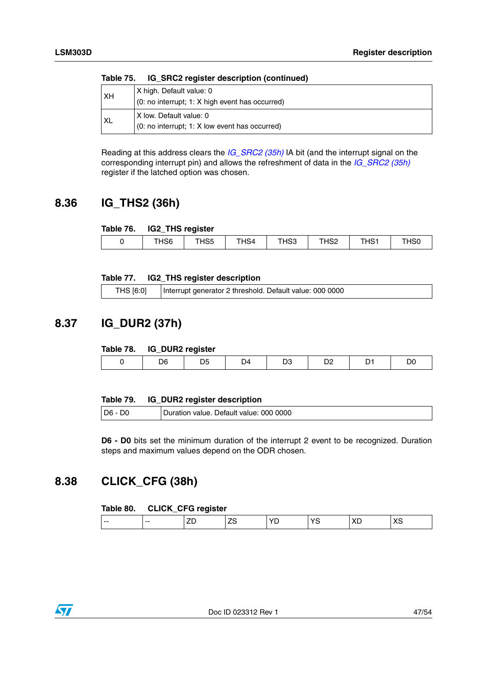| XH | X high. Default value: 0                        |  |  |  |  |  |
|----|-------------------------------------------------|--|--|--|--|--|
|    | (0: no interrupt; 1: X high event has occurred) |  |  |  |  |  |
| XL | IX Iow. Default value: 0                        |  |  |  |  |  |
|    | (0: no interrupt; 1: X low event has occurred)  |  |  |  |  |  |

**Table 75. IG\_SRC2 register description (continued)**

Reading at this address clears the *[IG\\_SRC2 \(35h\)](#page-45-0)* IA bit (and the interrupt signal on the corresponding interrupt pin) and allows the refreshment of data in the *[IG\\_SRC2 \(35h\)](#page-45-0)* register if the latched option was chosen.

## <span id="page-46-0"></span>**8.36 IG\_THS2 (36h)**

<span id="page-46-3"></span>

| Table 76. | IG2_THS register |
|-----------|------------------|
|-----------|------------------|

| __  |                         |      |                              |              |      |       |
|-----|-------------------------|------|------------------------------|--------------|------|-------|
| טטו | $T^{\prime}$ IQP<br>HS5 | THS4 | HS <sub>3</sub><br>$\sim$ 1. | T120<br>1134 | THS1 | . HSO |
|     |                         |      |                              |              |      |       |

### <span id="page-46-4"></span>**Table 77. IG2\_THS register description**

| THS [6:0] | Interrupt generator 2 threshold. Default value: 000 0000 |
|-----------|----------------------------------------------------------|
|-----------|----------------------------------------------------------|

## <span id="page-46-1"></span>**8.37 IG\_DUR2 (37h)**

### <span id="page-46-5"></span>**Table 78. IG\_DUR2 register**

|  | --- |          |  |  |
|--|-----|----------|--|--|
|  | 16  | Μ<br>- - |  |  |
|  |     |          |  |  |

<span id="page-46-6"></span>

| Table 79. | IG_DUR2 register description |
|-----------|------------------------------|
|-----------|------------------------------|

| D <sub>6</sub> | Default value: 000 0000<br>Duration value. |
|----------------|--------------------------------------------|
|                |                                            |

**D6 - D0** bits set the minimum duration of the interrupt 2 event to be recognized. Duration steps and maximum values depend on the ODR chosen.

## <span id="page-46-2"></span>**8.38 CLICK\_CFG (38h)**

### <span id="page-46-7"></span>**Table 80. CLICK\_CFG register**

| - -<br>. .<br>л.<br>--<br>$-$<br>-- |
|-------------------------------------|
|-------------------------------------|

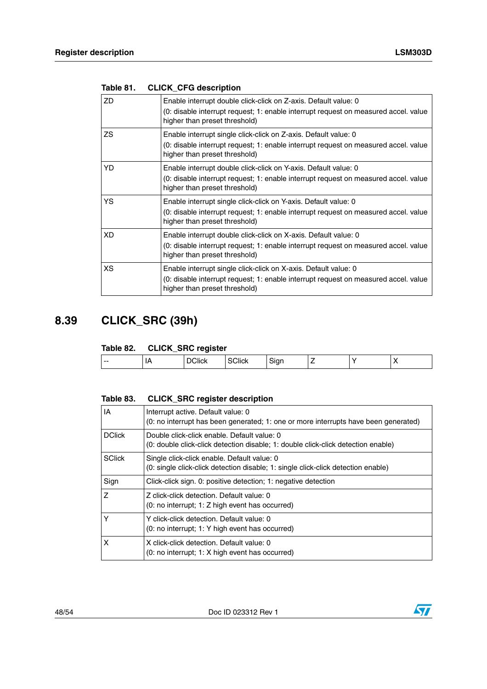| <b>ZD</b> | Enable interrupt double click-click on Z-axis. Default value: 0<br>(0: disable interrupt request; 1: enable interrupt request on measured accel. value<br>higher than preset threshold) |
|-----------|-----------------------------------------------------------------------------------------------------------------------------------------------------------------------------------------|
| ZS        | Enable interrupt single click-click on Z-axis. Default value: 0<br>(0: disable interrupt request; 1: enable interrupt request on measured accel. value<br>higher than preset threshold) |
| YD        | Enable interrupt double click-click on Y-axis. Default value: 0<br>(0: disable interrupt request; 1: enable interrupt request on measured accel. value<br>higher than preset threshold) |
| YS        | Enable interrupt single click-click on Y-axis. Default value: 0<br>(0: disable interrupt request; 1: enable interrupt request on measured accel. value<br>higher than preset threshold) |
| XD        | Enable interrupt double click-click on X-axis. Default value: 0<br>(0: disable interrupt request; 1: enable interrupt request on measured accel. value<br>higher than preset threshold) |
| XS.       | Enable interrupt single click-click on X-axis. Default value: 0<br>(0: disable interrupt request; 1: enable interrupt request on measured accel. value<br>higher than preset threshold) |

<span id="page-47-1"></span>

| Table 81. | <b>CLICK_CFG description</b> |  |  |  |
|-----------|------------------------------|--|--|--|
|-----------|------------------------------|--|--|--|

## <span id="page-47-0"></span>**8.39 CLICK\_SRC (39h)**

### <span id="page-47-2"></span>**Table 82. CLICK\_SRC register**

| -<br>∵lick,<br>siar<br>$\sqrt{ }$<br>ЛІСК<br>и<br>$- -$<br>.<br>. . | ____ |  |  |  |
|---------------------------------------------------------------------|------|--|--|--|
|                                                                     |      |  |  |  |

### <span id="page-47-3"></span>**Table 83. CLICK\_SRC register description**

| IA            | Interrupt active. Default value: 0<br>(0: no interrupt has been generated; 1: one or more interrupts have been generated)        |
|---------------|----------------------------------------------------------------------------------------------------------------------------------|
| <b>DClick</b> | Double click-click enable. Default value: 0<br>(0: double click-click detection disable; 1: double click-click detection enable) |
| <b>SClick</b> | Single click-click enable. Default value: 0<br>(0: single click-click detection disable; 1: single click-click detection enable) |
| Sign          | Click-click sign. 0: positive detection; 1: negative detection                                                                   |
| Z             | Z click-click detection. Default value: 0<br>$(0: no$ interrupt; 1: Z high event has occurred)                                   |
| Y             | Y click-click detection. Default value: 0<br>(0: no interrupt; 1: Y high event has occurred)                                     |
| X             | X click-click detection. Default value: 0<br>(0: no interrupt; 1: X high event has occurred)                                     |

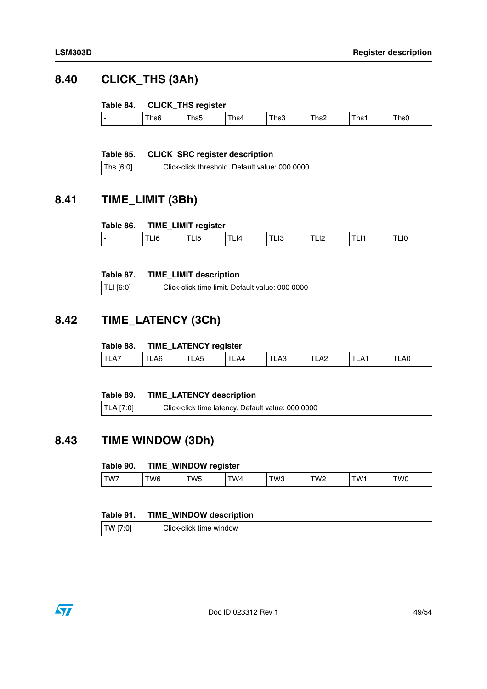## <span id="page-48-0"></span>**8.40 CLICK\_THS (3Ah)**

### <span id="page-48-4"></span>**Table 84. CLICK\_THS register**

|  | heh<br>$\overline{\phantom{0}}$<br>1156 | hs5 | ns4 | hs3 | Ths2<br>$\cdot$ . $\cdot$ – | l hs: | .hs0 |  |
|--|-----------------------------------------|-----|-----|-----|-----------------------------|-------|------|--|
|--|-----------------------------------------|-----|-----|-----|-----------------------------|-------|------|--|

### <span id="page-48-5"></span>**Table 85. CLICK\_SRC register description**

| Ths [6:0] | Click-click threshold. Default value: 000 0000 |
|-----------|------------------------------------------------|
|-----------|------------------------------------------------|

## <span id="page-48-1"></span>**8.41 TIME\_LIMIT (3Bh)**

### <span id="page-48-6"></span>**Table 86. TIME\_LIMIT register**

|                          | $\overline{\phantom{a}}$ | .        |     |                                       |     |    |           |
|--------------------------|--------------------------|----------|-----|---------------------------------------|-----|----|-----------|
| $\overline{\phantom{0}}$ | --                       | יי<br>-- | LI4 | $\overline{\phantom{a}}$<br>∟ເບ<br>__ | --- | -- | . .<br>-- |
|                          |                          |          |     |                                       |     |    |           |

### <span id="page-48-7"></span>**Table 87. TIME\_LIMIT description**

| $ TLI$ [6:0] | Click-click time limit. Default value: 000 0000 |
|--------------|-------------------------------------------------|
|              |                                                 |

## <span id="page-48-2"></span>**8.42 TIME\_LATENCY (3Ch)**

### <span id="page-48-8"></span>**Table 88. TIME\_LATENCY register**

|                      | $\overline{\phantom{a}}$ | --                  |    |     |                    |       |
|----------------------|--------------------------|---------------------|----|-----|--------------------|-------|
| TLA.<br>. <u>. .</u> | ∟A6                      | $\cdots$<br>nυ<br>ட | Δ4 | LA3 | . .<br>LAC<br>$ -$ | ، LAO |
|                      |                          |                     |    |     |                    |       |

### <span id="page-48-9"></span>**Table 89. TIME\_LATENCY description**

| $\vert$ TLA [7:0]<br>Click-click time latency. Default value: 000 0000 |  |
|------------------------------------------------------------------------|--|
|------------------------------------------------------------------------|--|

## <span id="page-48-3"></span>**8.43 TIME WINDOW (3Dh)**

### <span id="page-48-10"></span>**Table 90. TIME\_WINDOW register**

|     | ____ |             |    |     |    |     |     |
|-----|------|-------------|----|-----|----|-----|-----|
| TW7 | W6   | W5<br>. . J | W4 | TWЗ | W2 | W1- | TW0 |
|     |      |             |    |     |    |     |     |

### <span id="page-48-11"></span>**Table 91. TIME\_WINDOW description**

| TW.<br>. . | ____<br>window<br>ліск<br>ume<br>CIICK<br>∵ י−∧اب… |
|------------|----------------------------------------------------|
|            |                                                    |

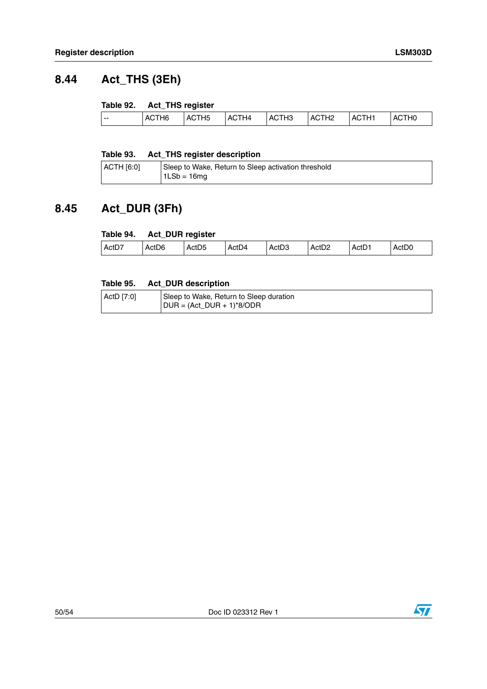## <span id="page-49-0"></span>**8.44 Act\_THS (3Eh)**

### <span id="page-49-2"></span>**Table 92. Act\_THS register**

| ACTH <sub>2</sub><br>ACTH <sub>3</sub><br>ACTH <sub>1</sub><br>ACTH4<br>ACTH <sub>6</sub><br>ACTH <sub>5</sub><br><b>ACTHO</b><br>. |  |
|-------------------------------------------------------------------------------------------------------------------------------------|--|
|-------------------------------------------------------------------------------------------------------------------------------------|--|

### <span id="page-49-3"></span>**Table 93. Act\_THS register description**

| $ $ ACTH $[6:0]$ | Sleep to Wake, Return to Sleep activation threshold |
|------------------|-----------------------------------------------------|
|                  | $1LSb = 16mq$                                       |

## <span id="page-49-1"></span>**8.45 Act\_DUR (3Fh)**

### <span id="page-49-4"></span>**Table 94. Act\_DUR register**

| ActD7 | ActD <sub>6</sub> | Act <sub>D5</sub> | Act <sub>D4</sub> | ٠n٥<br>ActDJ | Act <sub>D2</sub> | ActD <sup>1</sup> | ActD0 |
|-------|-------------------|-------------------|-------------------|--------------|-------------------|-------------------|-------|
|       |                   |                   |                   |              |                   |                   |       |

### <span id="page-49-5"></span>**Table 95. Act\_DUR description**

| ActD [7:0] | Sleep to Wake, Return to Sleep duration |
|------------|-----------------------------------------|
|            | $DUR = (Act_DUR + 1)*8/ODR$             |

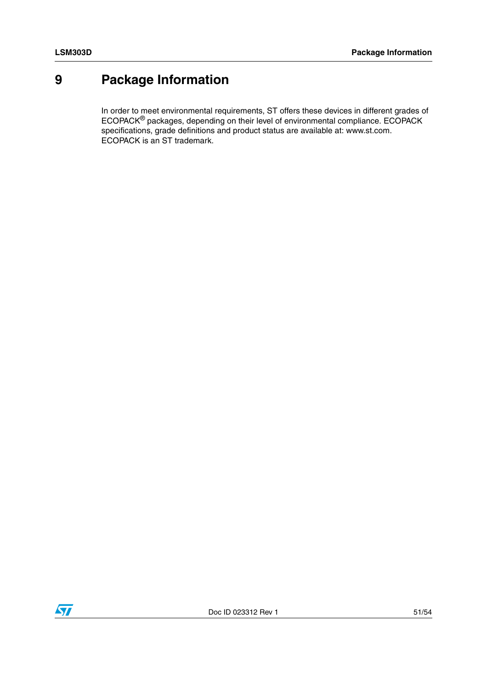## <span id="page-50-0"></span>**9 Package Information**

In order to meet environmental requirements, ST offers these devices in different grades of ECOPACK® packages, depending on their level of environmental compliance. ECOPACK specifications, grade definitions and product status are available at: www.st.com. ECOPACK is an ST trademark.

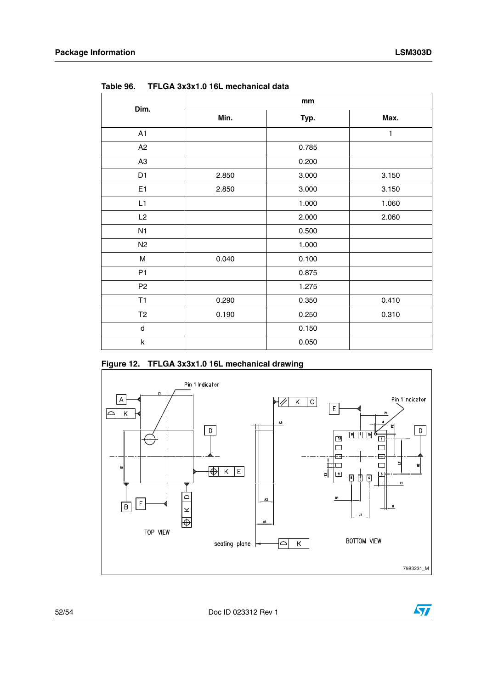| Dim.           | mm    |       |       |  |  |  |
|----------------|-------|-------|-------|--|--|--|
|                | Min.  | Typ.  | Max.  |  |  |  |
| A1             |       |       | 1     |  |  |  |
| A2             |       | 0.785 |       |  |  |  |
| A <sub>3</sub> |       | 0.200 |       |  |  |  |
| D <sub>1</sub> | 2.850 | 3.000 | 3.150 |  |  |  |
| E <sub>1</sub> | 2.850 | 3.000 | 3.150 |  |  |  |
| L1             |       | 1.000 | 1.060 |  |  |  |
| L2             |       | 2.000 | 2.060 |  |  |  |
| N1             |       | 0.500 |       |  |  |  |
| N2             |       | 1.000 |       |  |  |  |
| М              | 0.040 | 0.100 |       |  |  |  |
| P <sub>1</sub> |       | 0.875 |       |  |  |  |
| P <sub>2</sub> |       | 1.275 |       |  |  |  |
| T1             | 0.290 | 0.350 | 0.410 |  |  |  |
| T <sub>2</sub> | 0.190 | 0.250 | 0.310 |  |  |  |
| d              |       | 0.150 |       |  |  |  |
| k              |       | 0.050 |       |  |  |  |

<span id="page-51-0"></span>**Table 96. TFLGA 3x3x1.0 16L mechanical data**

<span id="page-51-1"></span>



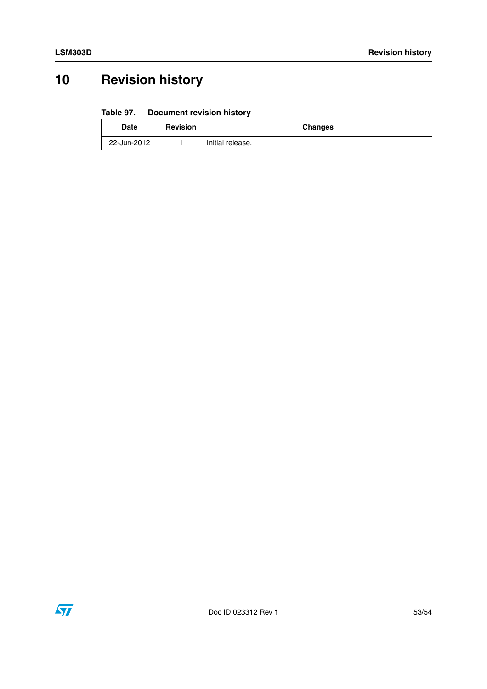## <span id="page-52-0"></span>**10 Revision history**

#### <span id="page-52-1"></span>Table 97. **Document revision history**

| Date        | <b>Revision</b> | <b>Changes</b>   |
|-------------|-----------------|------------------|
| 22-Jun-2012 |                 | Initial release. |